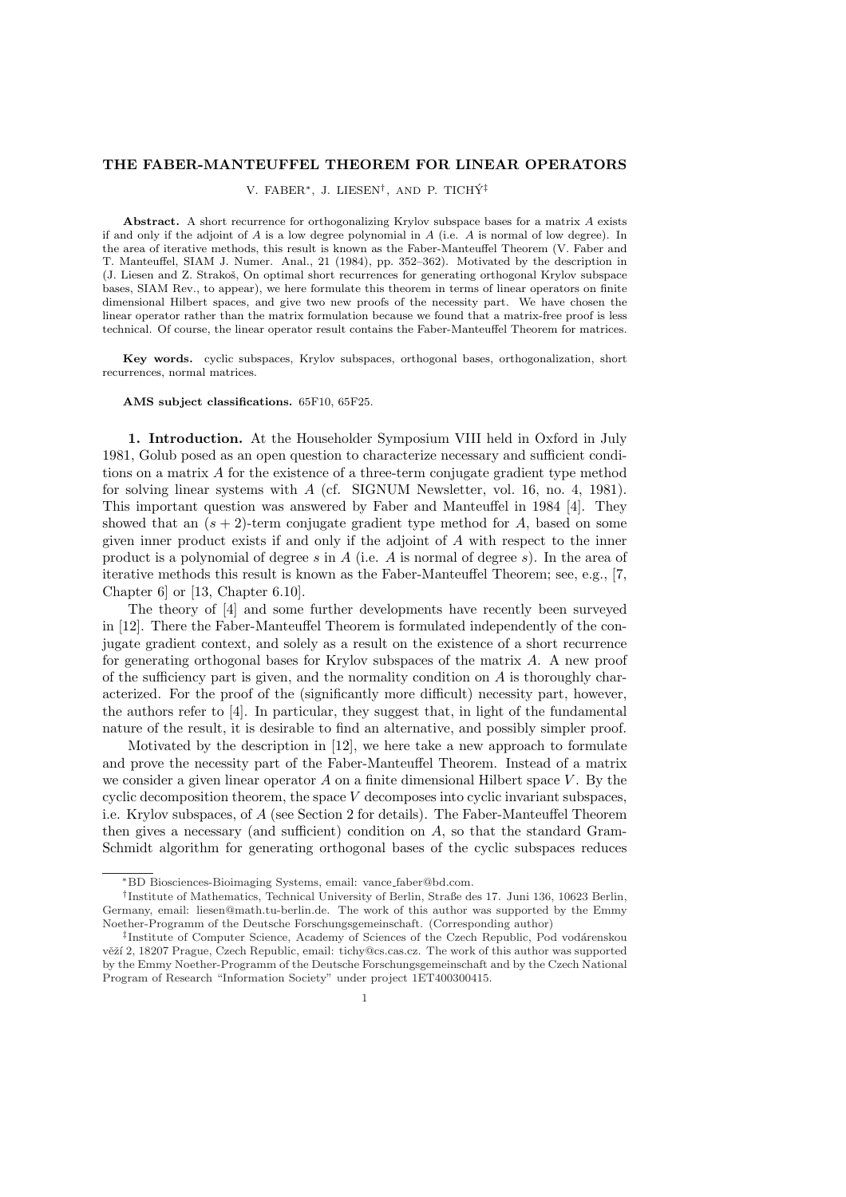## THE FABER-MANTEUFFEL THEOREM FOR LINEAR OPERATORS

V. FABER\*, J. LIESEN<sup>†</sup>, AND P. TICHÝ<sup>‡</sup>

Abstract. A short recurrence for orthogonalizing Krylov subspace bases for a matrix A exists if and only if the adjoint of  $A$  is a low degree polynomial in  $A$  (i.e.  $A$  is normal of low degree). In the area of iterative methods, this result is known as the Faber-Manteuffel Theorem (V. Faber and T. Manteuffel, SIAM J. Numer. Anal., 21 (1984), pp. 352–362). Motivated by the description in (J. Liesen and Z. Strakoˇs, On optimal short recurrences for generating orthogonal Krylov subspace bases, SIAM Rev., to appear), we here formulate this theorem in terms of linear operators on finite dimensional Hilbert spaces, and give two new proofs of the necessity part. We have chosen the linear operator rather than the matrix formulation because we found that a matrix-free proof is less technical. Of course, the linear operator result contains the Faber-Manteuffel Theorem for matrices.

Key words. cyclic subspaces, Krylov subspaces, orthogonal bases, orthogonalization, short recurrences, normal matrices.

AMS subject classifications. 65F10, 65F25.

1. Introduction. At the Householder Symposium VIII held in Oxford in July 1981, Golub posed as an open question to characterize necessary and sufficient conditions on a matrix A for the existence of a three-term conjugate gradient type method for solving linear systems with A (cf. SIGNUM Newsletter, vol. 16, no. 4, 1981). This important question was answered by Faber and Manteuffel in 1984 [4]. They showed that an  $(s + 2)$ -term conjugate gradient type method for A, based on some given inner product exists if and only if the adjoint of A with respect to the inner product is a polynomial of degree s in A (i.e. A is normal of degree s). In the area of iterative methods this result is known as the Faber-Manteuffel Theorem; see, e.g., [7, Chapter 6] or [13, Chapter 6.10].

The theory of [4] and some further developments have recently been surveyed in [12]. There the Faber-Manteuffel Theorem is formulated independently of the conjugate gradient context, and solely as a result on the existence of a short recurrence for generating orthogonal bases for Krylov subspaces of the matrix A. A new proof of the sufficiency part is given, and the normality condition on  $A$  is thoroughly characterized. For the proof of the (significantly more difficult) necessity part, however, the authors refer to [4]. In particular, they suggest that, in light of the fundamental nature of the result, it is desirable to find an alternative, and possibly simpler proof.

Motivated by the description in [12], we here take a new approach to formulate and prove the necessity part of the Faber-Manteuffel Theorem. Instead of a matrix we consider a given linear operator  $A$  on a finite dimensional Hilbert space  $V$ . By the cyclic decomposition theorem, the space  $V$  decomposes into cyclic invariant subspaces, i.e. Krylov subspaces, of A (see Section 2 for details). The Faber-Manteuffel Theorem then gives a necessary (and sufficient) condition on A, so that the standard Gram-Schmidt algorithm for generating orthogonal bases of the cyclic subspaces reduces

<sup>∗</sup>BD Biosciences-Bioimaging Systems, email: vance faber@bd.com.

<sup>†</sup> Institute of Mathematics, Technical University of Berlin, Straße des 17. Juni 136, 10623 Berlin, Germany, email: liesen@math.tu-berlin.de. The work of this author was supported by the Emmy Noether-Programm of the Deutsche Forschungsgemeinschaft. (Corresponding author)

<sup>&</sup>lt;sup>‡</sup>Institute of Computer Science, Academy of Sciences of the Czech Republic, Pod vodárenskou věží 2, 18207 Prague, Czech Republic, email: tichy@cs.cas.cz. The work of this author was supported by the Emmy Noether-Programm of the Deutsche Forschungsgemeinschaft and by the Czech National Program of Research "Information Society" under project 1ET400300415.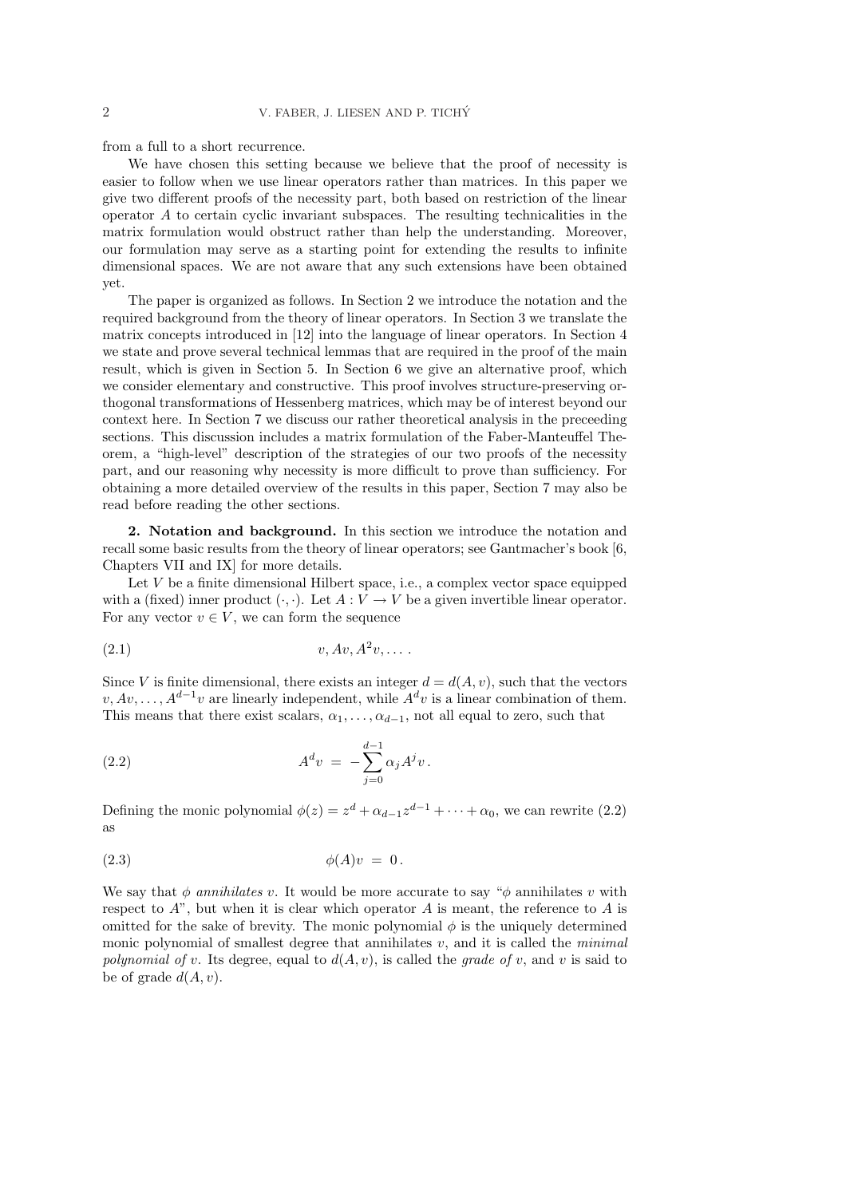from a full to a short recurrence.

We have chosen this setting because we believe that the proof of necessity is easier to follow when we use linear operators rather than matrices. In this paper we give two different proofs of the necessity part, both based on restriction of the linear operator  $A$  to certain cyclic invariant subspaces. The resulting technicalities in the matrix formulation would obstruct rather than help the understanding. Moreover, our formulation may serve as a starting point for extending the results to infinite dimensional spaces. We are not aware that any such extensions have been obtained yet.

The paper is organized as follows. In Section 2 we introduce the notation and the required background from the theory of linear operators. In Section 3 we translate the matrix concepts introduced in [12] into the language of linear operators. In Section 4 we state and prove several technical lemmas that are required in the proof of the main result, which is given in Section 5. In Section 6 we give an alternative proof, which we consider elementary and constructive. This proof involves structure-preserving orthogonal transformations of Hessenberg matrices, which may be of interest beyond our context here. In Section 7 we discuss our rather theoretical analysis in the preceeding sections. This discussion includes a matrix formulation of the Faber-Manteuffel Theorem, a "high-level" description of the strategies of our two proofs of the necessity part, and our reasoning why necessity is more difficult to prove than sufficiency. For obtaining a more detailed overview of the results in this paper, Section 7 may also be read before reading the other sections.

2. Notation and background. In this section we introduce the notation and recall some basic results from the theory of linear operators; see Gantmacher's book [6, Chapters VII and IX] for more details.

Let  $V$  be a finite dimensional Hilbert space, i.e., a complex vector space equipped with a (fixed) inner product  $(\cdot, \cdot)$ . Let  $A: V \to V$  be a given invertible linear operator. For any vector  $v \in V$ , we can form the sequence

$$
(2.1) \t v, Av, A2v, \ldots
$$

Since V is finite dimensional, there exists an integer  $d = d(A, v)$ , such that the vectors  $v, Av, \ldots, A^{d-1}v$  are linearly independent, while  $A^d v$  is a linear combination of them. This means that there exist scalars,  $\alpha_1, \ldots, \alpha_{d-1}$ , not all equal to zero, such that

(2.2) 
$$
A^d v = -\sum_{j=0}^{d-1} \alpha_j A^j v.
$$

Defining the monic polynomial  $\phi(z) = z^d + \alpha_{d-1} z^{d-1} + \cdots + \alpha_0$ , we can rewrite (2.2) as

$$
\phi(A)v = 0.
$$

We say that  $\phi$  annihilates v. It would be more accurate to say " $\phi$  annihilates v with respect to  $A$ ", but when it is clear which operator  $A$  is meant, the reference to  $A$  is omitted for the sake of brevity. The monic polynomial  $\phi$  is the uniquely determined monic polynomial of smallest degree that annihilates  $v$ , and it is called the *minimal* polynomial of v. Its degree, equal to  $d(A, v)$ , is called the grade of v, and v is said to be of grade  $d(A, v)$ .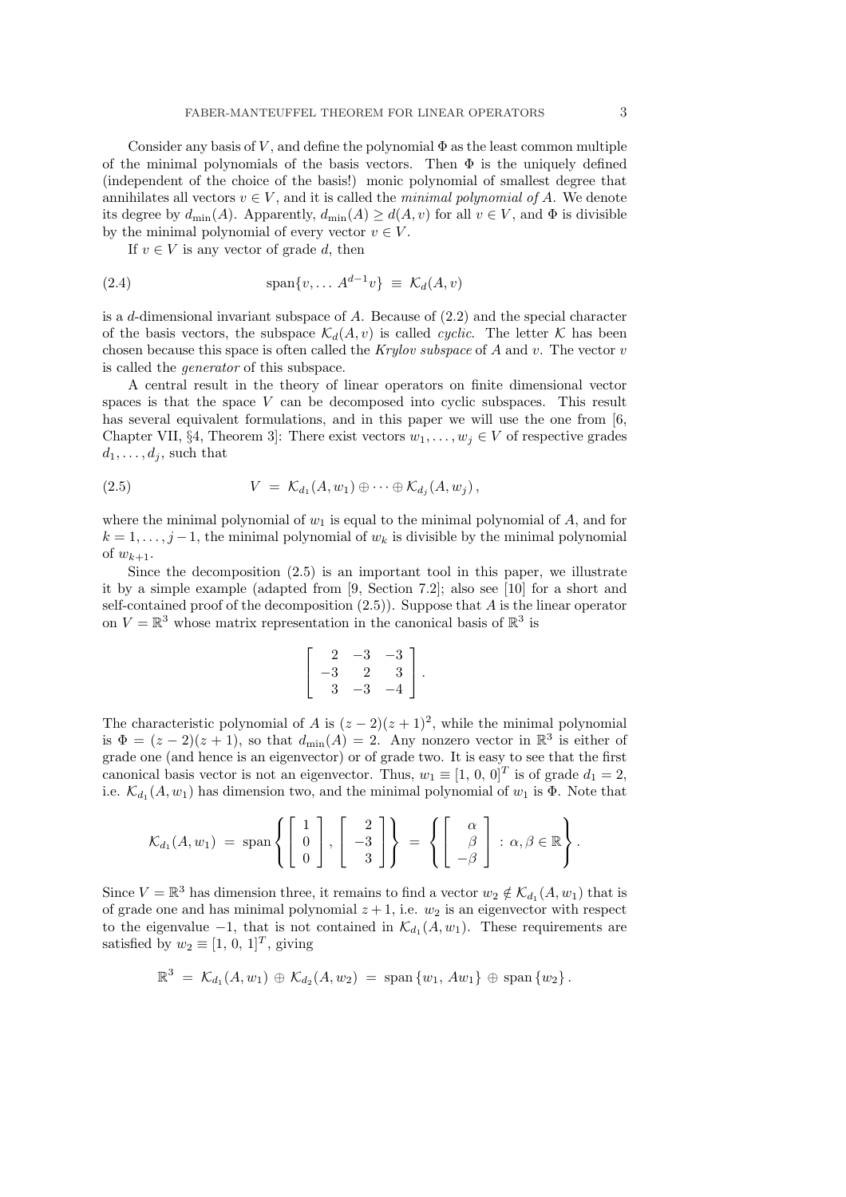Consider any basis of  $V$ , and define the polynomial  $\Phi$  as the least common multiple of the minimal polynomials of the basis vectors. Then  $\Phi$  is the uniquely defined (independent of the choice of the basis!) monic polynomial of smallest degree that annihilates all vectors  $v \in V$ , and it is called the *minimal polynomial of A*. We denote its degree by  $d_{\min}(A)$ . Apparently,  $d_{\min}(A) \geq d(A, v)$  for all  $v \in V$ , and  $\Phi$  is divisible by the minimal polynomial of every vector  $v \in V$ .

If  $v \in V$  is any vector of grade d, then

(2.4) 
$$
\text{span}\{v, \dots A^{d-1}v\} \equiv \mathcal{K}_d(A, v)
$$

is a d-dimensional invariant subspace of  $A$ . Because of  $(2.2)$  and the special character of the basis vectors, the subspace  $\mathcal{K}_d(A, v)$  is called *cyclic*. The letter  $\mathcal K$  has been chosen because this space is often called the Krylov subspace of  $A$  and  $v$ . The vector  $v$ is called the generator of this subspace.

A central result in the theory of linear operators on finite dimensional vector spaces is that the space V can be decomposed into cyclic subspaces. This result has several equivalent formulations, and in this paper we will use the one from [6, Chapter VII, §4, Theorem 3]: There exist vectors  $w_1, \ldots, w_j \in V$  of respective grades  $d_1, \ldots, d_j$ , such that

(2.5) 
$$
V = \mathcal{K}_{d_1}(A, w_1) \oplus \cdots \oplus \mathcal{K}_{d_j}(A, w_j),
$$

where the minimal polynomial of  $w_1$  is equal to the minimal polynomial of  $A$ , and for  $k = 1, \ldots, j-1$ , the minimal polynomial of  $w_k$  is divisible by the minimal polynomial of  $w_{k+1}$ .

Since the decomposition (2.5) is an important tool in this paper, we illustrate it by a simple example (adapted from [9, Section 7.2]; also see [10] for a short and self-contained proof of the decomposition  $(2.5)$ ). Suppose that A is the linear operator on  $V = \mathbb{R}^3$  whose matrix representation in the canonical basis of  $\mathbb{R}^3$  is

$$
\left[\begin{array}{rrr} 2 & -3 & -3 \\ -3 & 2 & 3 \\ 3 & -3 & -4 \end{array}\right].
$$

The characteristic polynomial of A is  $(z-2)(z+1)^2$ , while the minimal polynomial is  $\Phi = (z-2)(z+1)$ , so that  $d_{\min}(A) = 2$ . Any nonzero vector in  $\mathbb{R}^3$  is either of grade one (and hence is an eigenvector) or of grade two. It is easy to see that the first canonical basis vector is not an eigenvector. Thus,  $w_1 \equiv [1, 0, 0]^T$  is of grade  $d_1 = 2$ , i.e.  $\mathcal{K}_{d_1}(A, w_1)$  has dimension two, and the minimal polynomial of  $w_1$  is  $\Phi$ . Note that

$$
\mathcal{K}_{d_1}(A, w_1) = \text{span}\left\{ \begin{bmatrix} 1 \\ 0 \\ 0 \end{bmatrix}, \begin{bmatrix} 2 \\ -3 \\ 3 \end{bmatrix} \right\} = \left\{ \begin{bmatrix} \alpha \\ \beta \\ -\beta \end{bmatrix} : \alpha, \beta \in \mathbb{R} \right\}.
$$

Since  $V = \mathbb{R}^3$  has dimension three, it remains to find a vector  $w_2 \notin \mathcal{K}_{d_1}(A, w_1)$  that is of grade one and has minimal polynomial  $z + 1$ , i.e.  $w_2$  is an eigenvector with respect to the eigenvalue  $-1$ , that is not contained in  $\mathcal{K}_{d_1}(A, w_1)$ . These requirements are satisfied by  $w_2 \equiv [1, 0, 1]^T$ , giving

$$
\mathbb{R}^3 = \mathcal{K}_{d_1}(A, w_1) \oplus \mathcal{K}_{d_2}(A, w_2) = \text{span}\{w_1, Aw_1\} \oplus \text{span}\{w_2\}.
$$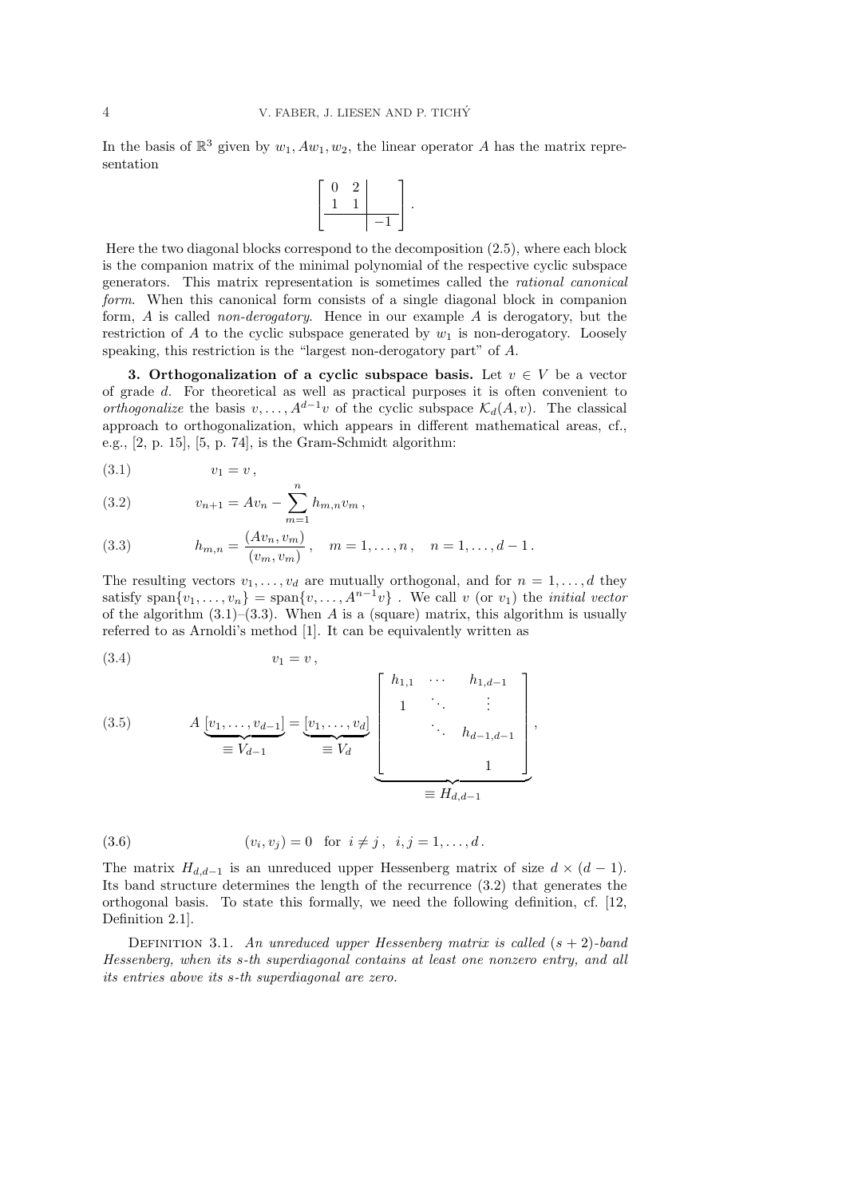In the basis of  $\mathbb{R}^3$  given by  $w_1, Aw_1, w_2$ , the linear operator A has the matrix representation

$$
\left[\begin{array}{cc|c} 0 & 2 & \\ 1 & 1 & \\ \hline & & -1 \end{array}\right].
$$

Here the two diagonal blocks correspond to the decomposition (2.5), where each block is the companion matrix of the minimal polynomial of the respective cyclic subspace generators. This matrix representation is sometimes called the rational canonical form. When this canonical form consists of a single diagonal block in companion form, A is called non-derogatory. Hence in our example A is derogatory, but the restriction of A to the cyclic subspace generated by  $w_1$  is non-derogatory. Loosely speaking, this restriction is the "largest non-derogatory part" of A.

3. Orthogonalization of a cyclic subspace basis. Let  $v \in V$  be a vector of grade d. For theoretical as well as practical purposes it is often convenient to *orthogonalize* the basis  $v, \ldots, A^{d-1}v$  of the cyclic subspace  $\mathcal{K}_d(A, v)$ . The classical approach to orthogonalization, which appears in different mathematical areas, cf., e.g., [2, p. 15], [5, p. 74], is the Gram-Schmidt algorithm:

(3.1)  $v_1 = v$ ,

(3.2) 
$$
v_{n+1} = Av_n - \sum_{m=1}^{n} h_{m,n} v_m,
$$

(3.3) 
$$
h_{m,n} = \frac{(Av_n, v_m)}{(v_m, v_m)}, \quad m = 1, \dots, n, \quad n = 1, \dots, d-1.
$$

The resulting vectors  $v_1, \ldots, v_d$  are mutually orthogonal, and for  $n = 1, \ldots, d$  they satisfy span $\{v_1, \ldots, v_n\} = \text{span}\{v, \ldots, A^{n-1}v\}$ . We call v (or  $v_1$ ) the *initial vector* of the algorithm  $(3.1)$ – $(3.3)$ . When A is a (square) matrix, this algorithm is usually referred to as Arnoldi's method [1]. It can be equivalently written as

$$
(3.4) \t\t v_1 = v,
$$

(3.5) 
$$
A \underbrace{[v_1, \dots, v_{d-1}]}_{\equiv V_{d-1}} = \underbrace{[v_1, \dots, v_d]}_{\equiv V_d} \underbrace{\begin{bmatrix} h_{1,1} & \cdots & h_{1,d-1} \\ 1 & \ddots & \vdots \\ & \ddots & h_{d-1,d-1} \\ & & 1 \end{bmatrix}}_{\equiv H_{d,d-1}},
$$

(3.6) 
$$
(v_i, v_j) = 0 \text{ for } i \neq j, i, j = 1, ..., d.
$$

The matrix  $H_{d,d-1}$  is an unreduced upper Hessenberg matrix of size  $d \times (d-1)$ . Its band structure determines the length of the recurrence (3.2) that generates the orthogonal basis. To state this formally, we need the following definition, cf. [12, Definition 2.1].

DEFINITION 3.1. An unreduced upper Hessenberg matrix is called  $(s + 2)$ -band Hessenberg, when its s-th superdiagonal contains at least one nonzero entry, and all its entries above its s-th superdiagonal are zero.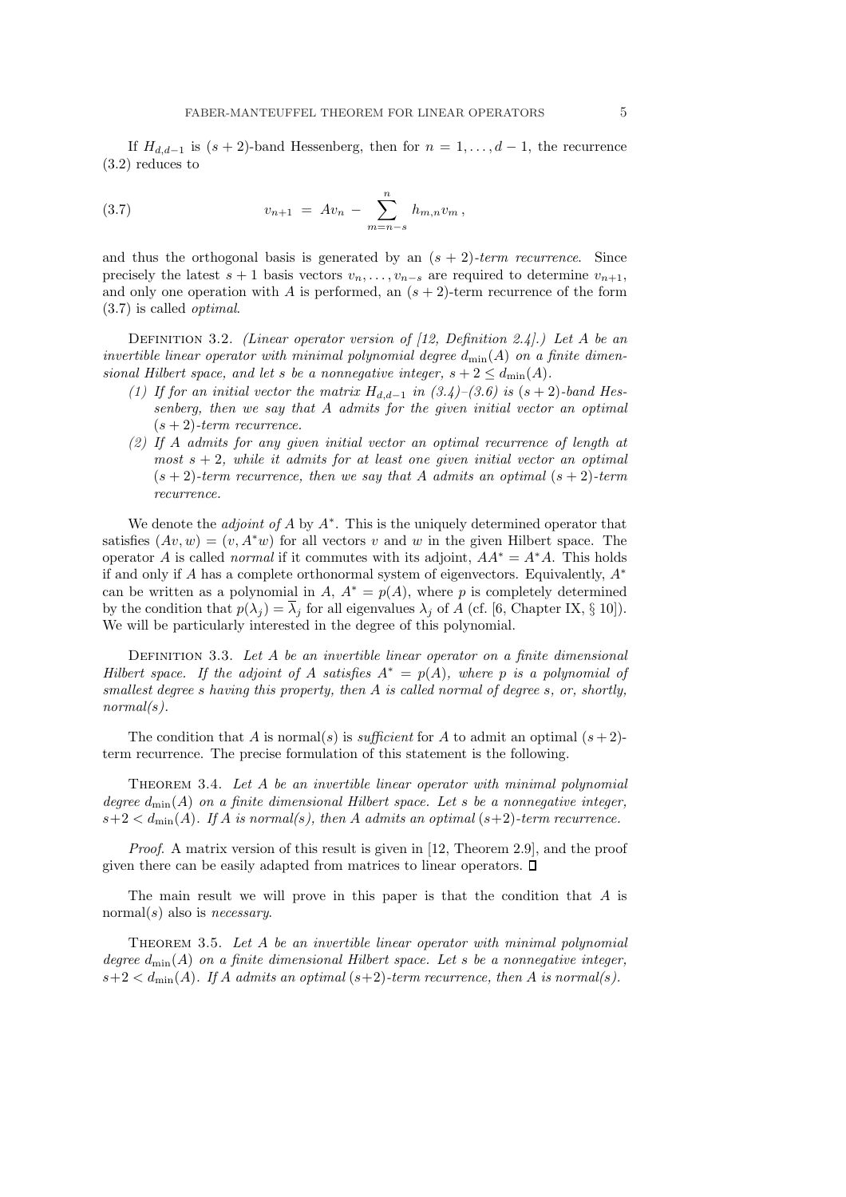If  $H_{d,d-1}$  is  $(s + 2)$ -band Hessenberg, then for  $n = 1, \ldots, d - 1$ , the recurrence (3.2) reduces to

(3.7) 
$$
v_{n+1} = Av_n - \sum_{m=n-s}^{n} h_{m,n} v_m,
$$

and thus the orthogonal basis is generated by an  $(s + 2)$ -term recurrence. Since precisely the latest  $s + 1$  basis vectors  $v_n, \ldots, v_{n-s}$  are required to determine  $v_{n+1}$ , and only one operation with A is performed, an  $(s + 2)$ -term recurrence of the form (3.7) is called optimal.

DEFINITION 3.2. (Linear operator version of  $(12, Definition 2.4)$ .) Let A be an invertible linear operator with minimal polynomial degree  $d_{\min}(A)$  on a finite dimensional Hilbert space, and let s be a nonnegative integer,  $s + 2 \leq d_{\text{min}}(A)$ .

- (1) If for an initial vector the matrix  $H_{d,d-1}$  in  $(3.4)-(3.6)$  is  $(s+2)$ -band Hessenberg, then we say that A admits for the given initial vector an optimal  $(s + 2)$ -term recurrence.
- (2) If A admits for any given initial vector an optimal recurrence of length at most  $s + 2$ , while it admits for at least one given initial vector an optimal  $(s + 2)$ -term recurrence, then we say that A admits an optimal  $(s + 2)$ -term recurrence.

We denote the *adjoint of A* by  $A^*$ . This is the uniquely determined operator that satisfies  $(Av, w) = (v, A^*w)$  for all vectors v and w in the given Hilbert space. The operator A is called *normal* if it commutes with its adjoint,  $AA^* = A^*A$ . This holds if and only if A has a complete orthonormal system of eigenvectors. Equivalently,  $A^*$ can be written as a polynomial in A,  $A^* = p(A)$ , where p is completely determined by the condition that  $p(\lambda_i) = \overline{\lambda_i}$  for all eigenvalues  $\lambda_i$  of A (cf. [6, Chapter IX, § 10]). We will be particularly interested in the degree of this polynomial.

DEFINITION 3.3. Let  $A$  be an invertible linear operator on a finite dimensional Hilbert space. If the adjoint of A satisfies  $A^* = p(A)$ , where p is a polynomial of smallest degree s having this property, then A is called normal of degree s, or, shortly,  $normal(s)$ .

The condition that A is normal(s) is sufficient for A to admit an optimal  $(s+2)$ term recurrence. The precise formulation of this statement is the following.

THEOREM 3.4. Let A be an invertible linear operator with minimal polynomial degree  $d_{\min}(A)$  on a finite dimensional Hilbert space. Let s be a nonnegative integer,  $s+2 < d_{\min}(A)$ . If A is normal(s), then A admits an optimal  $(s+2)$ -term recurrence.

Proof. A matrix version of this result is given in [12, Theorem 2.9], and the proof given there can be easily adapted from matrices to linear operators.  $\Box$ 

The main result we will prove in this paper is that the condition that A is normal(s) also is *necessary*.

THEOREM 3.5. Let A be an invertible linear operator with minimal polynomial degree  $d_{\min}(A)$  on a finite dimensional Hilbert space. Let s be a nonnegative integer,  $s+2 < d_{\min}(A)$ . If A admits an optimal  $(s+2)$ -term recurrence, then A is normal(s).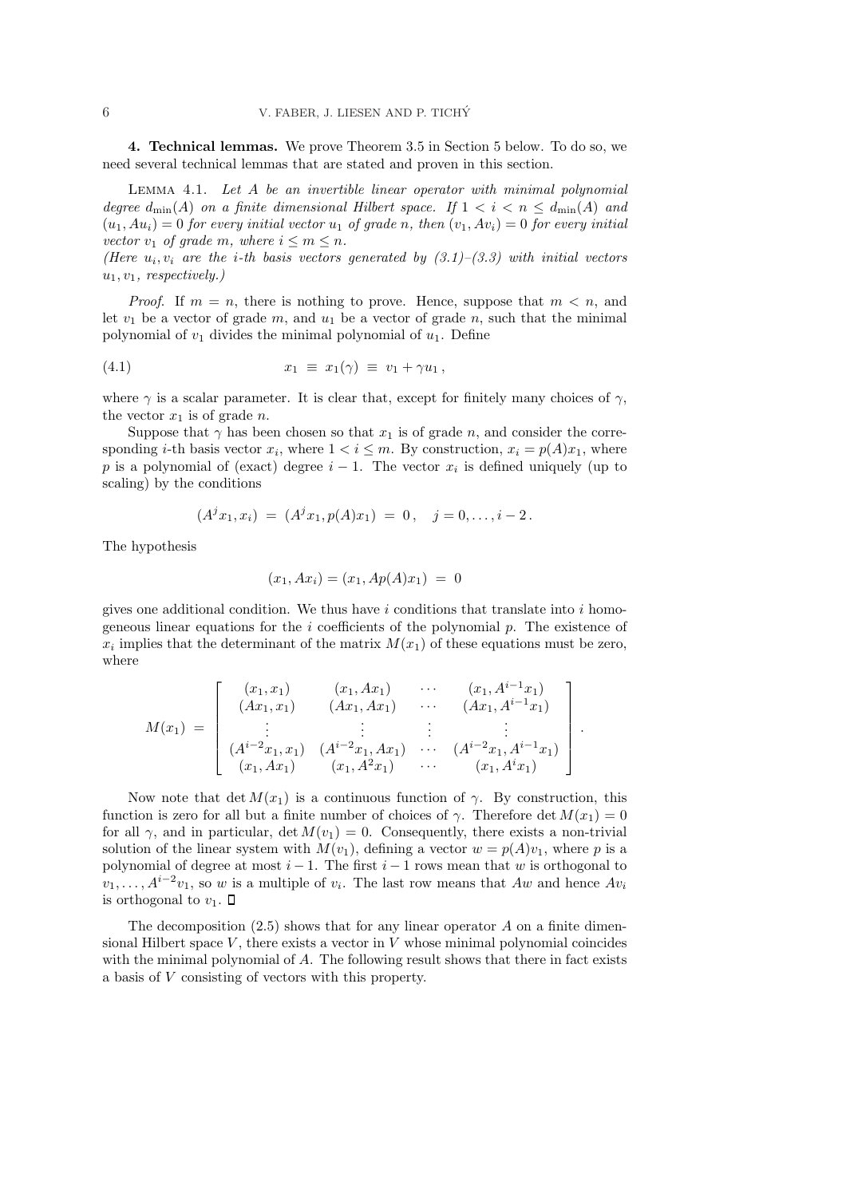4. Technical lemmas. We prove Theorem 3.5 in Section 5 below. To do so, we need several technical lemmas that are stated and proven in this section.

Lemma 4.1. Let A be an invertible linear operator with minimal polynomial degree  $d_{\min}(A)$  on a finite dimensional Hilbert space. If  $1 < i < n \leq d_{\min}(A)$  and  $(u_1, Au_i) = 0$  for every initial vector  $u_1$  of grade n, then  $(v_1, Av_i) = 0$  for every initial vector  $v_1$  of grade m, where  $i \leq m \leq n$ .

(Here  $u_i, v_i$  are the *i*-th basis vectors generated by  $(3.1)$ – $(3.3)$  with initial vectors  $u_1, v_1$ , respectively.)

*Proof.* If  $m = n$ , there is nothing to prove. Hence, suppose that  $m < n$ , and let  $v_1$  be a vector of grade  $m$ , and  $u_1$  be a vector of grade  $n$ , such that the minimal polynomial of  $v_1$  divides the minimal polynomial of  $u_1$ . Define

$$
(4.1) \t\t x_1 \equiv x_1(\gamma) \equiv v_1 + \gamma u_1,
$$

where  $\gamma$  is a scalar parameter. It is clear that, except for finitely many choices of  $\gamma$ , the vector  $x_1$  is of grade n.

Suppose that  $\gamma$  has been chosen so that  $x_1$  is of grade n, and consider the corresponding *i*-th basis vector  $x_i$ , where  $1 < i \leq m$ . By construction,  $x_i = p(A)x_1$ , where p is a polynomial of (exact) degree  $i-1$ . The vector  $x_i$  is defined uniquely (up to scaling) by the conditions

$$
(A^j x_1, x_i) = (A^j x_1, p(A) x_1) = 0, \quad j = 0, \dots, i-2.
$$

The hypothesis

$$
(x_1, Ax_i) = (x_1, Ap(A)x_1) = 0
$$

gives one additional condition. We thus have  $i$  conditions that translate into  $i$  homogeneous linear equations for the  $i$  coefficients of the polynomial  $p$ . The existence of  $x_i$  implies that the determinant of the matrix  $M(x_1)$  of these equations must be zero, where

$$
M(x_1) = \begin{bmatrix} (x_1, x_1) & (x_1, Ax_1) & \cdots & (x_1, A^{i-1}x_1) \\ (Ax_1, x_1) & (Ax_1, Ax_1) & \cdots & (Ax_1, A^{i-1}x_1) \\ \vdots & \vdots & \vdots & \vdots \\ (A^{i-2}x_1, x_1) & (A^{i-2}x_1, Ax_1) & \cdots & (A^{i-2}x_1, A^{i-1}x_1) \\ (x_1, Ax_1) & (x_1, A^2x_1) & \cdots & (x_1, A^ix_1) \end{bmatrix}.
$$

Now note that det  $M(x_1)$  is a continuous function of  $\gamma$ . By construction, this function is zero for all but a finite number of choices of  $\gamma$ . Therefore det  $M(x_1) = 0$ for all  $\gamma$ , and in particular, det  $M(v_1) = 0$ . Consequently, there exists a non-trivial solution of the linear system with  $M(v_1)$ , defining a vector  $w = p(A)v_1$ , where p is a polynomial of degree at most  $i - 1$ . The first  $i - 1$  rows mean that w is orthogonal to  $v_1, \ldots, A^{i-2}v_1$ , so w is a multiple of  $v_i$ . The last row means that  $Aw$  and hence  $Av_i$ is orthogonal to  $v_1$ .  $\Box$ 

The decomposition  $(2.5)$  shows that for any linear operator A on a finite dimensional Hilbert space  $V$ , there exists a vector in  $V$  whose minimal polynomial coincides with the minimal polynomial of A. The following result shows that there in fact exists a basis of V consisting of vectors with this property.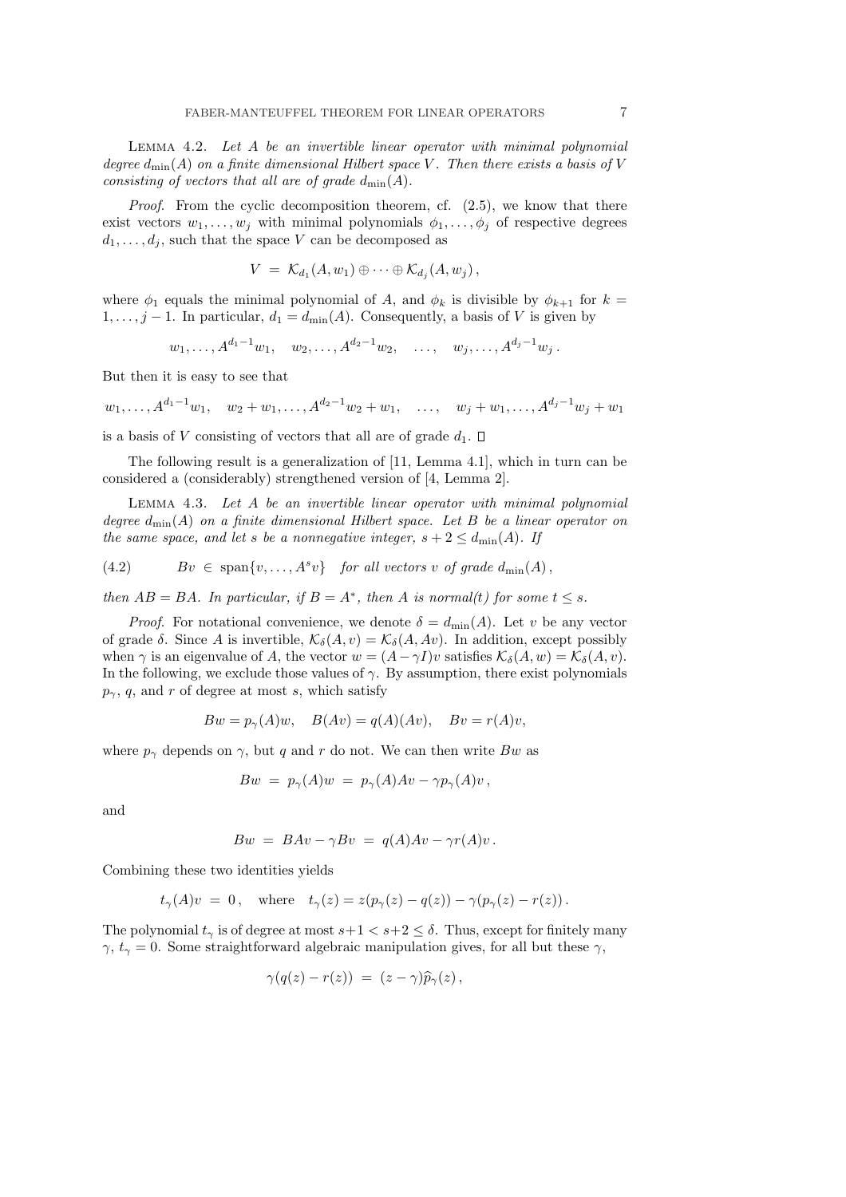Lemma 4.2. Let A be an invertible linear operator with minimal polynomial degree  $d_{\text{min}}(A)$  on a finite dimensional Hilbert space V. Then there exists a basis of V consisting of vectors that all are of grade  $d_{\text{min}}(A)$ .

Proof. From the cyclic decomposition theorem, cf.  $(2.5)$ , we know that there exist vectors  $w_1, \ldots, w_j$  with minimal polynomials  $\phi_1, \ldots, \phi_j$  of respective degrees  $d_1, \ldots, d_j$ , such that the space V can be decomposed as

$$
V = \mathcal{K}_{d_1}(A, w_1) \oplus \cdots \oplus \mathcal{K}_{d_j}(A, w_j),
$$

where  $\phi_1$  equals the minimal polynomial of A, and  $\phi_k$  is divisible by  $\phi_{k+1}$  for  $k =$  $1, \ldots, j-1$ . In particular,  $d_1 = d_{\min}(A)$ . Consequently, a basis of V is given by

$$
w_1, \ldots, A^{d_1-1}w_1, w_2, \ldots, A^{d_2-1}w_2, \ldots, w_j, \ldots, A^{d_j-1}w_j.
$$

But then it is easy to see that

$$
w_1, \ldots, A^{d_1-1}w_1, w_2+w_1, \ldots, A^{d_2-1}w_2+w_1, \ldots, w_j+w_1, \ldots, A^{d_j-1}w_j+w_1
$$

is a basis of V consisting of vectors that all are of grade  $d_1$ .  $\Box$ 

The following result is a generalization of [11, Lemma 4.1], which in turn can be considered a (considerably) strengthened version of [4, Lemma 2].

Lemma 4.3. Let A be an invertible linear operator with minimal polynomial degree  $d_{\min}(A)$  on a finite dimensional Hilbert space. Let B be a linear operator on the same space, and let s be a nonnegative integer,  $s + 2 \leq d_{\text{min}}(A)$ . If

(4.2) 
$$
Bv \in \text{span}\{v, \ldots, A^s v\} \text{ for all vectors } v \text{ of grade } d_{\text{min}}(A),
$$

then  $AB = BA$ . In particular, if  $B = A^*$ , then A is normal(t) for some  $t \leq s$ .

*Proof.* For notational convenience, we denote  $\delta = d_{\text{min}}(A)$ . Let v be any vector of grade  $\delta$ . Since A is invertible,  $\mathcal{K}_{\delta}(A, v) = \mathcal{K}_{\delta}(A, Av)$ . In addition, except possibly when  $\gamma$  is an eigenvalue of A, the vector  $w = (A - \gamma I)v$  satisfies  $\mathcal{K}_{\delta}(A, w) = \mathcal{K}_{\delta}(A, v)$ . In the following, we exclude those values of  $\gamma$ . By assumption, there exist polynomials  $p_{\gamma}$ , q, and r of degree at most s, which satisfy

$$
Bw = p_{\gamma}(A)w, \quad B(Av) = q(A)(Av), \quad Bv = r(A)v,
$$

where  $p_{\gamma}$  depends on  $\gamma$ , but q and r do not. We can then write Bw as

$$
Bw = p_{\gamma}(A)w = p_{\gamma}(A)Av - \gamma p_{\gamma}(A)v,
$$

and

$$
Bw = BAv - \gamma Bv = q(A)Av - \gamma r(A)v.
$$

Combining these two identities yields

$$
t_{\gamma}(A)v = 0, \quad \text{where} \quad t_{\gamma}(z) = z(p_{\gamma}(z) - q(z)) - \gamma(p_{\gamma}(z) - r(z)).
$$

The polynomial  $t_{\gamma}$  is of degree at most  $s+1 < s+2 \leq \delta$ . Thus, except for finitely many  $\gamma, t_{\gamma} = 0$ . Some straightforward algebraic manipulation gives, for all but these  $\gamma$ ,

$$
\gamma(q(z)-r(z)) = (z-\gamma)\widehat{p}_{\gamma}(z)\,,
$$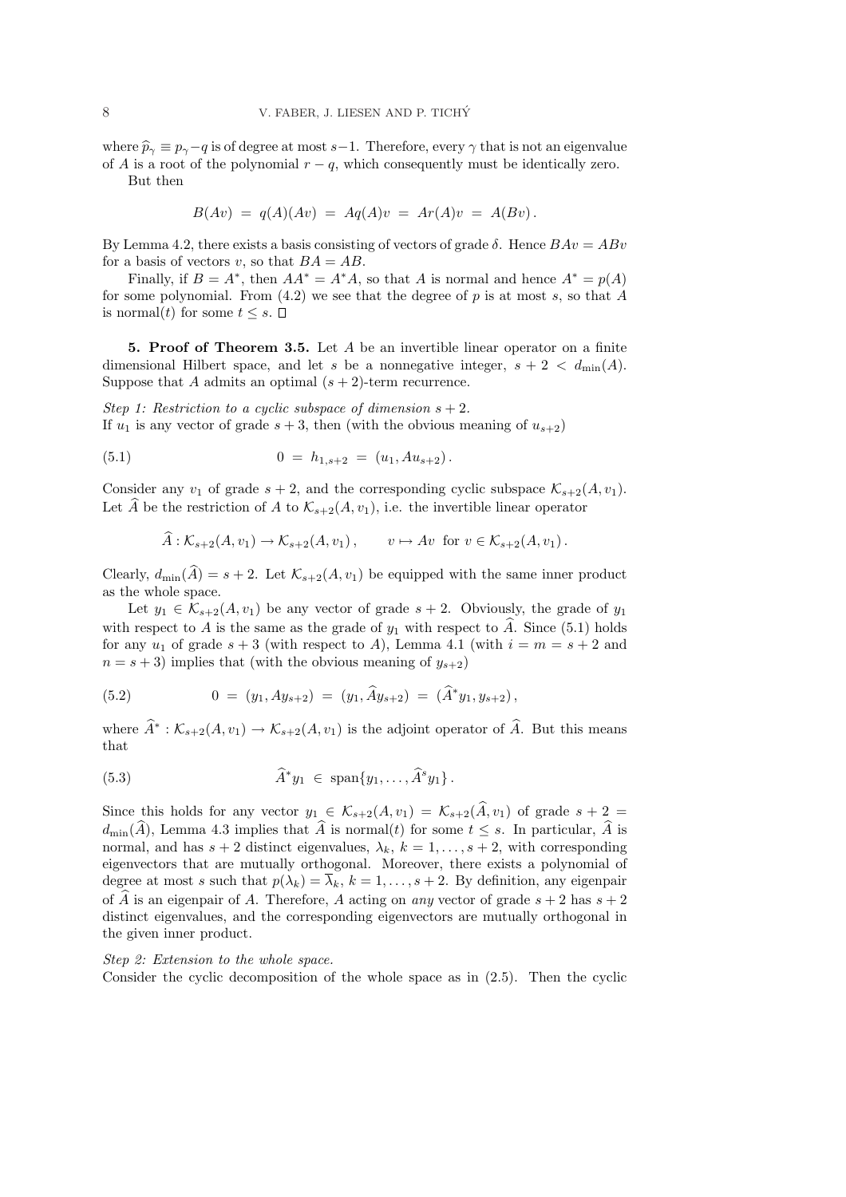where  $\hat{p}_{\gamma} \equiv p_{\gamma} - q$  is of degree at most s−1. Therefore, every  $\gamma$  that is not an eigenvalue of A is a root of the polynomial  $r - q$ , which consequently must be identically zero.

But then

$$
B(Av) = q(A)(Av) = Aq(A)v = Ar(A)v = A(Bv).
$$

By Lemma 4.2, there exists a basis consisting of vectors of grade  $\delta$ . Hence  $BAv = ABv$ for a basis of vectors v, so that  $BA = AB$ .

Finally, if  $B = A^*$ , then  $AA^* = A^*A$ , so that A is normal and hence  $A^* = p(A)$ for some polynomial. From  $(4.2)$  we see that the degree of p is at most s, so that A is normal(t) for some  $t \leq s$ .  $\Box$ 

**5. Proof of Theorem 3.5.** Let  $A$  be an invertible linear operator on a finite dimensional Hilbert space, and let s be a nonnegative integer,  $s + 2 < d_{\text{min}}(A)$ . Suppose that A admits an optimal  $(s + 2)$ -term recurrence.

Step 1: Restriction to a cyclic subspace of dimension  $s + 2$ . If  $u_1$  is any vector of grade  $s + 3$ , then (with the obvious meaning of  $u_{s+2}$ )

(5.1) 
$$
0 = h_{1,s+2} = (u_1, Au_{s+2}).
$$

Consider any  $v_1$  of grade  $s + 2$ , and the corresponding cyclic subspace  $\mathcal{K}_{s+2}(A, v_1)$ . Let  $\widehat{A}$  be the restriction of A to  $\mathcal{K}_{s+2}(A, v_1)$ , i.e. the invertible linear operator

$$
\widehat{A}: \mathcal{K}_{s+2}(A, v_1) \to \mathcal{K}_{s+2}(A, v_1), \qquad v \mapsto Av \text{ for } v \in \mathcal{K}_{s+2}(A, v_1).
$$

Clearly,  $d_{\min}(\widehat{A}) = s + 2$ . Let  $\mathcal{K}_{s+2}(A, v_1)$  be equipped with the same inner product as the whole space.

Let  $y_1 \in \mathcal{K}_{s+2}(A, v_1)$  be any vector of grade  $s+2$ . Obviously, the grade of  $y_1$ with respect to A is the same as the grade of  $y_1$  with respect to  $\hat{A}$ . Since (5.1) holds for any  $u_1$  of grade  $s + 3$  (with respect to A), Lemma 4.1 (with  $i = m = s + 2$  and  $n = s + 3$ ) implies that (with the obvious meaning of  $y_{s+2}$ )

(5.2) 
$$
0 = (y_1, Ay_{s+2}) = (y_1, \widehat{A}y_{s+2}) = (\widehat{A}^*y_1, y_{s+2}),
$$

where  $\widehat{A}^*:\mathcal{K}_{s+2}(A,v_1)\to \mathcal{K}_{s+2}(A,v_1)$  is the adjoint operator of  $\widehat{A}$ . But this means that

(5.3) 
$$
\widehat{A}^*y_1 \in \text{span}\{y_1,\ldots,\widehat{A}^s y_1\}.
$$

Since this holds for any vector  $y_1 \in \mathcal{K}_{s+2}(A, v_1) = \mathcal{K}_{s+2}(\widehat{A}, v_1)$  of grade  $s + 2 =$  $d_{\min}(\widehat{A})$ , Lemma 4.3 implies that  $\widehat{A}$  is normal(t) for some  $t \leq s$ . In particular,  $\widehat{A}$  is normal, and has  $s + 2$  distinct eigenvalues,  $\lambda_k$ ,  $k = 1, \ldots, s + 2$ , with corresponding eigenvectors that are mutually orthogonal. Moreover, there exists a polynomial of degree at most s such that  $p(\lambda_k) = \overline{\lambda}_k$ ,  $k = 1, \ldots, s + 2$ . By definition, any eigenpair of  $\widehat{A}$  is an eigenpair of A. Therefore, A acting on any vector of grade  $s + 2$  has  $s + 2$ distinct eigenvalues, and the corresponding eigenvectors are mutually orthogonal in the given inner product.

### Step 2: Extension to the whole space.

Consider the cyclic decomposition of the whole space as in  $(2.5)$ . Then the cyclic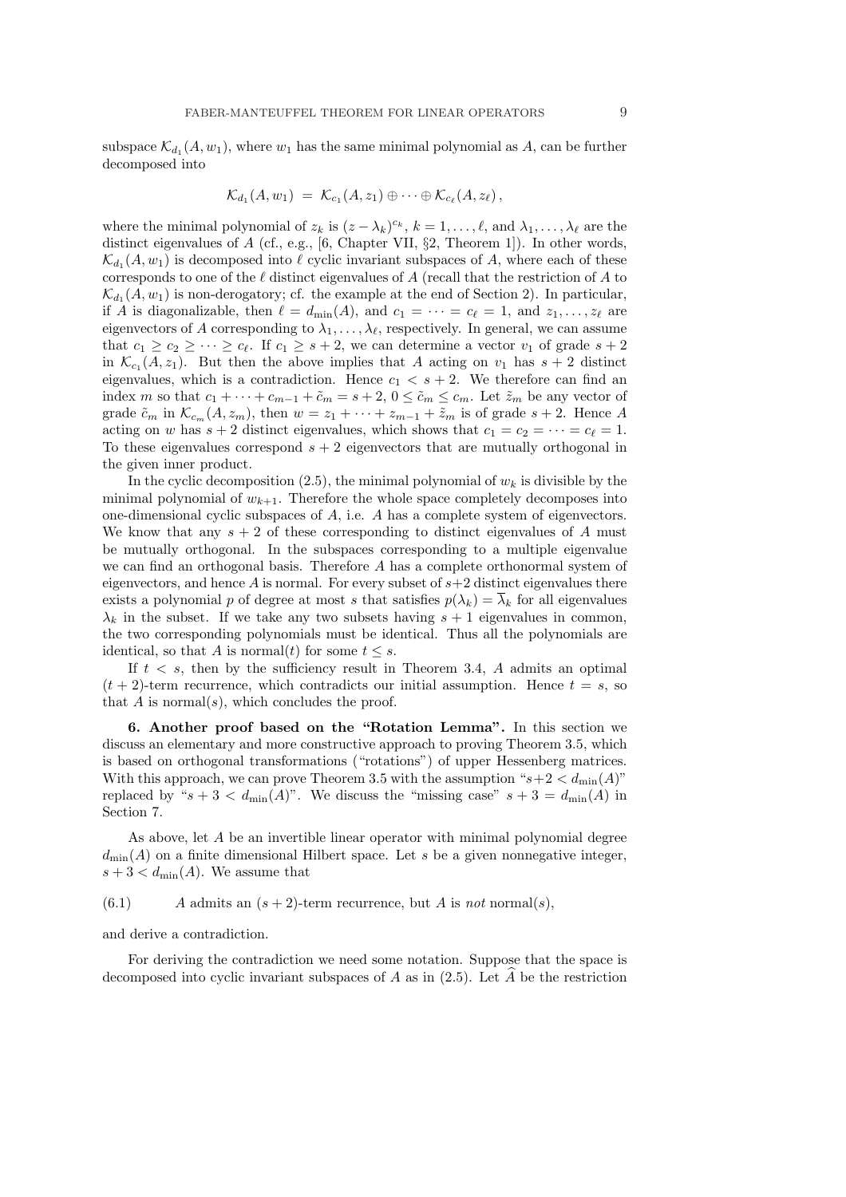subspace  $\mathcal{K}_{d_1}(A, w_1)$ , where  $w_1$  has the same minimal polynomial as A, can be further decomposed into

$$
\mathcal{K}_{d_1}(A, w_1) = \mathcal{K}_{c_1}(A, z_1) \oplus \cdots \oplus \mathcal{K}_{c_\ell}(A, z_\ell),
$$

where the minimal polynomial of  $z_k$  is  $(z - \lambda_k)^{c_k}$ ,  $k = 1, \ldots, \ell$ , and  $\lambda_1, \ldots, \lambda_\ell$  are the distinct eigenvalues of  $A$  (cf., e.g., [6, Chapter VII, §2, Theorem 1]). In other words,  $\mathcal{K}_{d_1}(A, w_1)$  is decomposed into  $\ell$  cyclic invariant subspaces of A, where each of these corresponds to one of the  $\ell$  distinct eigenvalues of A (recall that the restriction of A to  $\mathcal{K}_{d_1}(A, w_1)$  is non-derogatory; cf. the example at the end of Section 2). In particular, if A is diagonalizable, then  $\ell = d_{\min}(A)$ , and  $c_1 = \cdots = c_{\ell} = 1$ , and  $z_1, \ldots, z_{\ell}$  are eigenvectors of A corresponding to  $\lambda_1, \ldots, \lambda_\ell$ , respectively. In general, we can assume that  $c_1 \geq c_2 \geq \cdots \geq c_\ell$ . If  $c_1 \geq s+2$ , we can determine a vector  $v_1$  of grade  $s+2$ in  $\mathcal{K}_{c_1}(A, z_1)$ . But then the above implies that A acting on  $v_1$  has  $s + 2$  distinct eigenvalues, which is a contradiction. Hence  $c_1 < s + 2$ . We therefore can find an index m so that  $c_1 + \cdots + c_{m-1} + \tilde{c}_m = s + 2$ ,  $0 \leq \tilde{c}_m \leq c_m$ . Let  $\tilde{z}_m$  be any vector of grade  $\tilde{c}_m$  in  $\mathcal{K}_{c_m}(A, z_m)$ , then  $w = z_1 + \cdots + z_{m-1} + \tilde{z}_m$  is of grade  $s + 2$ . Hence A acting on w has  $s + 2$  distinct eigenvalues, which shows that  $c_1 = c_2 = \cdots = c_{\ell} = 1$ . To these eigenvalues correspond  $s + 2$  eigenvectors that are mutually orthogonal in the given inner product.

In the cyclic decomposition (2.5), the minimal polynomial of  $w_k$  is divisible by the minimal polynomial of  $w_{k+1}$ . Therefore the whole space completely decomposes into one-dimensional cyclic subspaces of A, i.e. A has a complete system of eigenvectors. We know that any  $s + 2$  of these corresponding to distinct eigenvalues of A must be mutually orthogonal. In the subspaces corresponding to a multiple eigenvalue we can find an orthogonal basis. Therefore A has a complete orthonormal system of eigenvectors, and hence  $A$  is normal. For every subset of  $s+2$  distinct eigenvalues there exists a polynomial p of degree at most s that satisfies  $p(\lambda_k) = \overline{\lambda}_k$  for all eigenvalues  $\lambda_k$  in the subset. If we take any two subsets having  $s + 1$  eigenvalues in common, the two corresponding polynomials must be identical. Thus all the polynomials are identical, so that A is normal(t) for some  $t \leq s$ .

If  $t < s$ , then by the sufficiency result in Theorem 3.4, A admits an optimal  $(t + 2)$ -term recurrence, which contradicts our initial assumption. Hence  $t = s$ , so that  $A$  is normal( $s$ ), which concludes the proof.

6. Another proof based on the "Rotation Lemma". In this section we discuss an elementary and more constructive approach to proving Theorem 3.5, which is based on orthogonal transformations ("rotations") of upper Hessenberg matrices. With this approach, we can prove Theorem 3.5 with the assumption " $s+2 < d_{\min}(A)$ " replaced by " $s + 3 < d_{\min}(A)$ ". We discuss the "missing case"  $s + 3 = d_{\min}(A)$  in Section 7.

As above, let A be an invertible linear operator with minimal polynomial degree  $d_{\min}(A)$  on a finite dimensional Hilbert space. Let s be a given nonnegative integer,  $s + 3 < d_{\min}(A)$ . We assume that

 $(6.1)$  A admits an  $(s + 2)$ -term recurrence, but A is not normal $(s)$ ,

and derive a contradiction.

For deriving the contradiction we need some notation. Suppose that the space is decomposed into cyclic invariant subspaces of A as in  $(2.5)$ . Let A be the restriction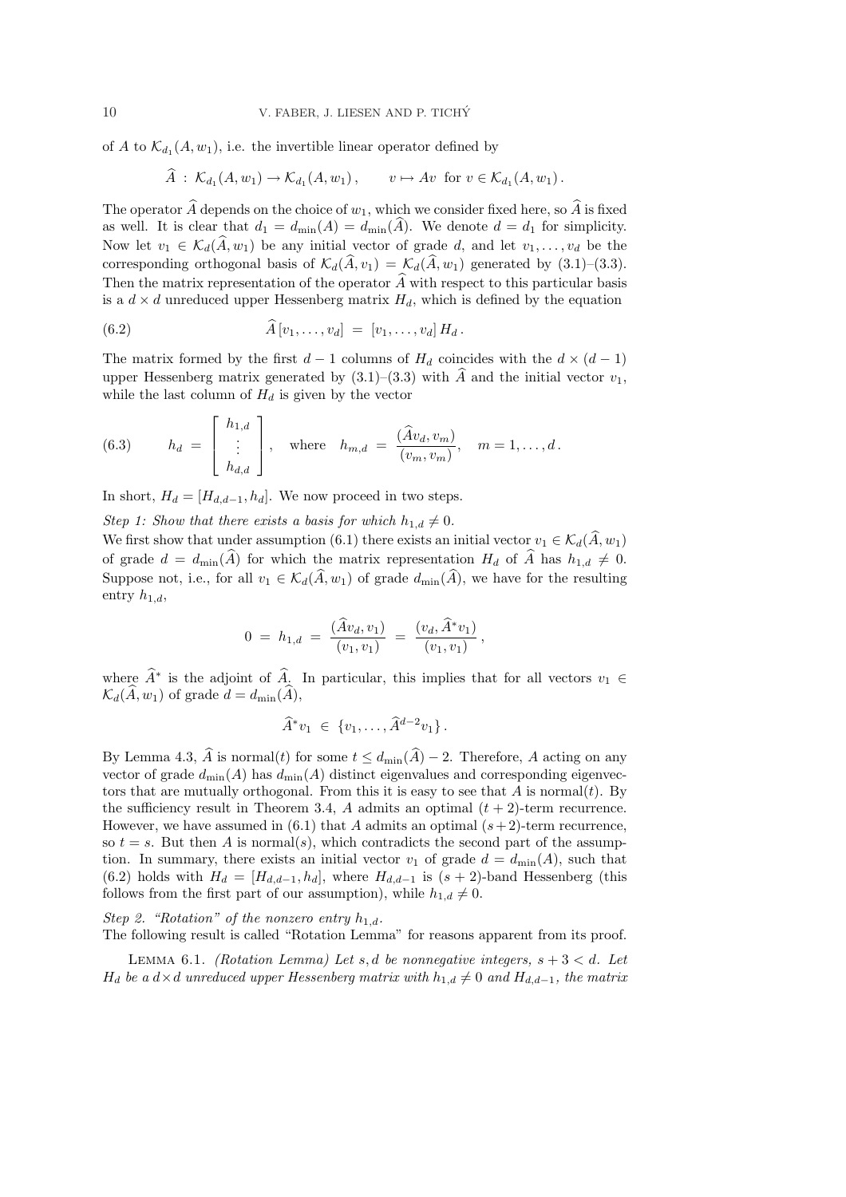of A to  $\mathcal{K}_{d_1}(A, w_1)$ , i.e. the invertible linear operator defined by

$$
\widehat{A} : \mathcal{K}_{d_1}(A, w_1) \to \mathcal{K}_{d_1}(A, w_1), \qquad v \mapsto Av \text{ for } v \in \mathcal{K}_{d_1}(A, w_1).
$$

The operator  $\widehat{A}$  depends on the choice of  $w_1$ , which we consider fixed here, so  $\widehat{A}$  is fixed as well. It is clear that  $d_1 = d_{\min}(A) = d_{\min}(\widehat{A})$ . We denote  $d = d_1$  for simplicity. Now let  $v_1 \in \mathcal{K}_d(\widehat{A}, w_1)$  be any initial vector of grade d, and let  $v_1, \ldots, v_d$  be the corresponding orthogonal basis of  $\mathcal{K}_d(\widehat{A}, v_1) = \mathcal{K}_d(\widehat{A}, w_1)$  generated by (3.1)–(3.3). Then the matrix representation of the operator  $\widehat{A}$  with respect to this particular basis is a  $d \times d$  unreduced upper Hessenberg matrix  $H_d$ , which is defined by the equation

(6.2) 
$$
\widehat{A}[v_1,\ldots,v_d] = [v_1,\ldots,v_d] H_d.
$$

The matrix formed by the first  $d-1$  columns of  $H_d$  coincides with the  $d \times (d-1)$ upper Hessenberg matrix generated by  $(3.1)$ – $(3.3)$  with  $\hat{A}$  and the initial vector  $v_1$ , while the last column of  $H_d$  is given by the vector

(6.3) 
$$
h_d = \begin{bmatrix} h_{1,d} \\ \vdots \\ h_{d,d} \end{bmatrix}, \text{ where } h_{m,d} = \frac{(\widehat{A}v_d, v_m)}{(v_m, v_m)}, \quad m = 1, \dots, d.
$$

In short,  $H_d = [H_{d,d-1}, h_d]$ . We now proceed in two steps.

Step 1: Show that there exists a basis for which  $h_{1,d} \neq 0$ .

 $\overline{a}$ 

 $\mathsf{r}$  .

We first show that under assumption (6.1) there exists an initial vector  $v_1 \in \mathcal{K}_d(\widehat{A}, w_1)$ of grade  $d = d_{\text{min}}(\widehat{A})$  for which the matrix representation  $H_d$  of  $\widehat{A}$  has  $h_{1,d} \neq 0$ . Suppose not, i.e., for all  $v_1 \in \mathcal{K}_d(\widehat{A}, w_1)$  of grade  $d_{\min}(\widehat{A})$ , we have for the resulting entry  $h_{1,d}$ ,

$$
0 = h_{1,d} = \frac{(\widehat{A}v_d, v_1)}{(v_1, v_1)} = \frac{(v_d, \widehat{A}^*v_1)}{(v_1, v_1)},
$$

where  $\widehat{A}^*$  is the adjoint of  $\widehat{A}$ . In particular, this implies that for all vectors  $v_1 \in$  $\mathcal{K}_d(\widehat{A}, w_1)$  of grade  $d = d_{\min}(\widehat{A}),$ 

$$
\widehat{A}^* v_1 \in \{v_1, \ldots, \widehat{A}^{d-2} v_1\}.
$$

By Lemma 4.3,  $\widehat{A}$  is normal(t) for some  $t \leq d_{\min}(\widehat{A})-2$ . Therefore, A acting on any vector of grade  $d_{\min}(A)$  has  $d_{\min}(A)$  distinct eigenvalues and corresponding eigenvectors that are mutually orthogonal. From this it is easy to see that  $A$  is normal $(t)$ . By the sufficiency result in Theorem 3.4, A admits an optimal  $(t + 2)$ -term recurrence. However, we have assumed in (6.1) that A admits an optimal  $(s+2)$ -term recurrence, so  $t = s$ . But then A is normal(s), which contradicts the second part of the assumption. In summary, there exists an initial vector  $v_1$  of grade  $d = d_{\min}(A)$ , such that (6.2) holds with  $H_d = [H_{d,d-1}, h_d]$ , where  $H_{d,d-1}$  is  $(s + 2)$ -band Hessenberg (this follows from the first part of our assumption), while  $h_{1,d} \neq 0$ .

Step 2. "Rotation" of the nonzero entry  $h_{1,d}$ .

The following result is called "Rotation Lemma" for reasons apparent from its proof.

LEMMA 6.1. (Rotation Lemma) Let s, d be nonnegative integers,  $s + 3 < d$ . Let  $H_d$  be a  $d \times d$  unreduced upper Hessenberg matrix with  $h_{1,d} \neq 0$  and  $H_{d,d-1}$ , the matrix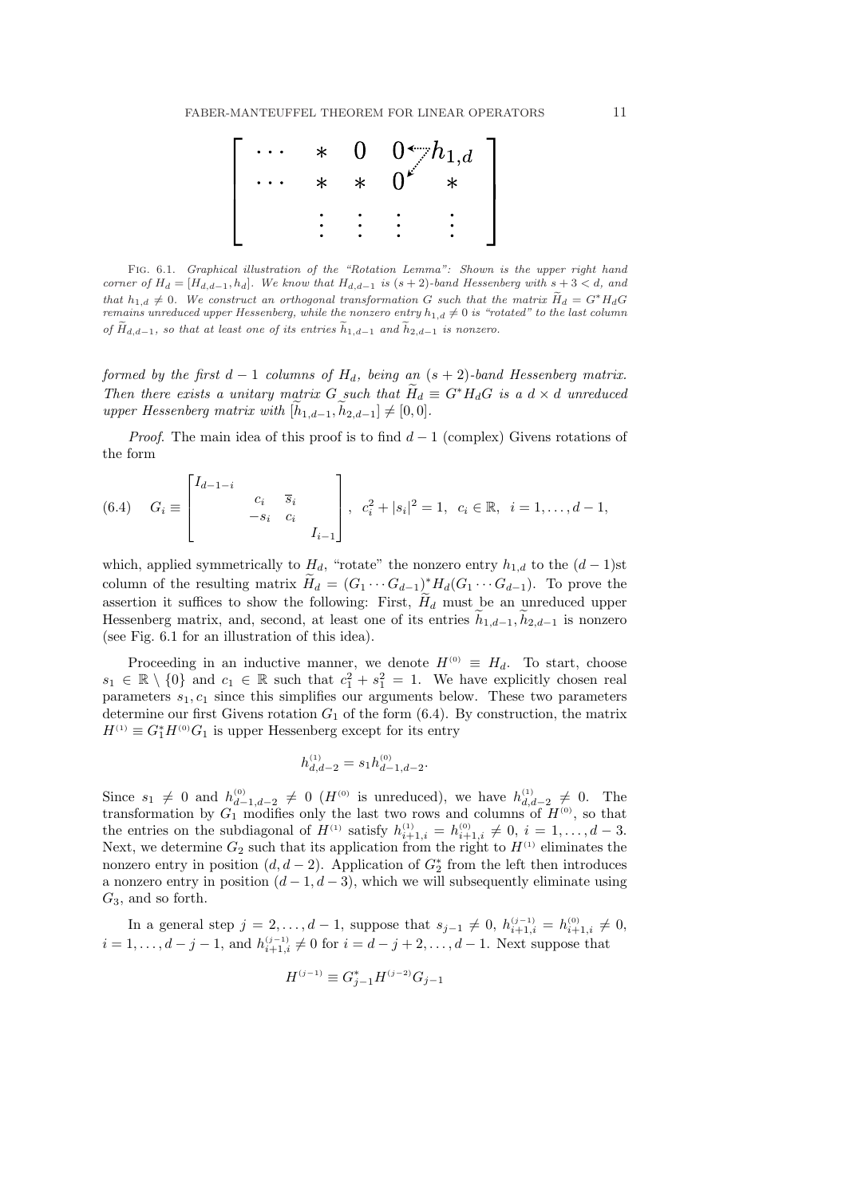

Fig. 6.1. Graphical illustration of the "Rotation Lemma": Shown is the upper right hand corner of  $H_d = [H_{d,d-1}, h_d]$ . We know that  $H_{d,d-1}$  is  $(s + 2)$ -band Hessenberg with  $s + 3 < d$ , and that  $h_{1,d} \neq 0$ . We construct an orthogonal transformation G such that the matrix  $\widetilde{H}_d = G^* H_dG$ remains unreduced upper Hessenberg, while the nonzero entry  $h_{1,d} \neq 0$  is "rotated" to the last column of  $\widetilde{H}_{d,d-1}$ , so that at least one of its entries  $\widetilde{h}_{1,d-1}$  and  $\widetilde{h}_{2,d-1}$  is nonzero.

formed by the first  $d-1$  columns of  $H_d$ , being an  $(s + 2)$ -band Hessenberg matrix. Then there exists a unitary matrix G such that  $H_d \equiv G^* H_dG$  is a  $d \times d$  unreduced upper Hessenberg matrix with  $[h_{1,d-1}, h_{2,d-1}] \neq [0, 0].$ 

*Proof.* The main idea of this proof is to find  $d-1$  (complex) Givens rotations of the form

(6.4) 
$$
G_i \equiv \begin{bmatrix} I_{d-1-i} & & & \\ & c_i & \overline{s}_i & \\ & & -s_i & c_i & \\ & & & I_{i-1} \end{bmatrix}, c_i^2 + |s_i|^2 = 1, c_i \in \mathbb{R}, i = 1, ..., d-1,
$$

which, applied symmetrically to  $H_d$ , "rotate" the nonzero entry  $h_{1,d}$  to the  $(d-1)$ st column of the resulting matrix  $\widetilde{H}_d = (G_1 \cdots G_{d-1})^* H_d(G_1 \cdots G_{d-1})$ . To prove the assertion it suffices to show the following: First,  $H_d$  must be an unreduced upper Hessenberg matrix, and, second, at least one of its entries  $h_{1,d-1}, h_{2,d-1}$  is nonzero (see Fig. 6.1 for an illustration of this idea).

Proceeding in an inductive manner, we denote  $H^{(0)} \equiv H_d$ . To start, choose  $s_1 \in \mathbb{R} \setminus \{0\}$  and  $c_1 \in \mathbb{R}$  such that  $c_1^2 + s_1^2 = 1$ . We have explicitly chosen real parameters  $s_1, c_1$  since this simplifies our arguments below. These two parameters determine our first Givens rotation  $G_1$  of the form (6.4). By construction, the matrix  $H^{(1)} \equiv G_1^* H^{(0)} G_1$  is upper Hessenberg except for its entry

$$
h_{d,d-2}^{(1)} = s_1 h_{d-1,d-2}^{(0)}.
$$

Since  $s_1 \neq 0$  and  $h_{d-1,d-2}^{(0)} \neq 0$  ( $H^{(0)}$  is unreduced), we have  $h_{d,d-2}^{(1)} \neq 0$ . The transformation by  $G_1$  modifies only the last two rows and columns of  $H^{(0)}$ , so that the entries on the subdiagonal of  $H^{(1)}$  satisfy  $h_{i+1,i}^{(1)} = h_{i+1,i}^{(0)} \neq 0, i = 1, ..., d - 3.$ Next, we determine  $G_2$  such that its application from the right to  $H^{(1)}$  eliminates the nonzero entry in position  $(d, d-2)$ . Application of  $G_2^*$  from the left then introduces a nonzero entry in position  $(d-1, d-3)$ , which we will subsequently eliminate using  $G_3$ , and so forth.

In a general step  $j = 2, ..., d - 1$ , suppose that  $s_{j-1} \neq 0$ ,  $h_{i+1,i}^{(j-1)} = h_{i+1,i}^{(0)} \neq 0$ ,  $i = 1, ..., d - j - 1$ , and  $h_{i+1,i}^{(j-1)} \neq 0$  for  $i = d - j + 2, ..., d - 1$ . Next suppose that

$$
H^{(j-1)} \equiv G_{j-1}^* H^{(j-2)} G_{j-1}
$$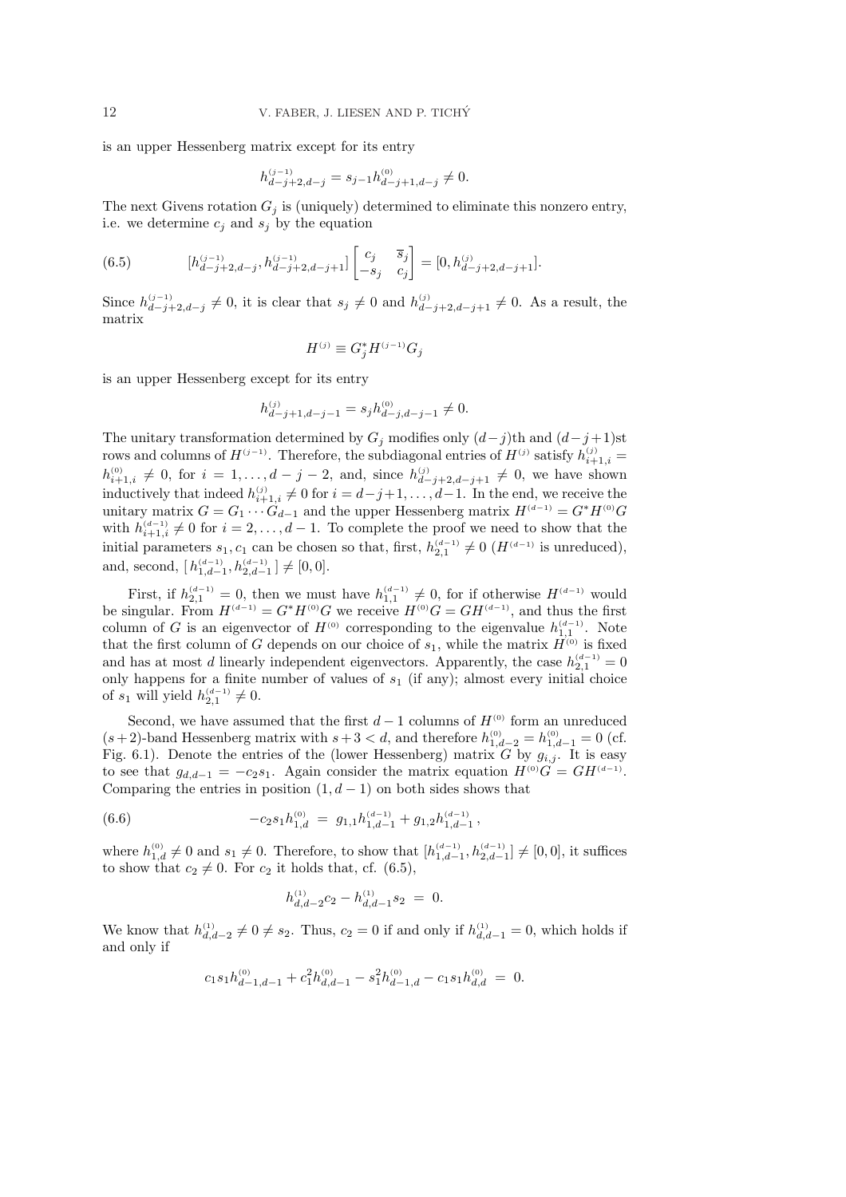is an upper Hessenberg matrix except for its entry

$$
h_{d-j+2,d-j}^{(j-1)} = s_{j-1} h_{d-j+1,d-j}^{(0)} \neq 0.
$$

The next Givens rotation  $G_i$  is (uniquely) determined to eliminate this nonzero entry, i.e. we determine  $c_i$  and  $s_j$  by the equation

(6.5) 
$$
[h_{d-j+2,d-j}^{(j-1)}, h_{d-j+2,d-j+1}^{(j-1)}] \begin{bmatrix} c_j & \overline{s}_j \\ -s_j & c_j \end{bmatrix} = [0, h_{d-j+2,d-j+1}^{(j)}].
$$

Since  $h_{d-j+2,d-j}^{(j-1)} \neq 0$ , it is clear that  $s_j \neq 0$  and  $h_{d-j+2,d-j+1}^{(j)} \neq 0$ . As a result, the matrix

$$
H^{(j)} \equiv G_j^* H^{(j-1)} G_j
$$

is an upper Hessenberg except for its entry

$$
h_{d-j+1,d-j-1}^{(j)} = s_j h_{d-j,d-j-1}^{(0)} \neq 0.
$$

The unitary transformation determined by  $G_j$  modifies only  $(d-j)$ th and  $(d-j+1)$ st rows and columns of  $H^{(j-1)}$ . Therefore, the subdiagonal entries of  $H^{(j)}$  satisfy  $h_{i+1,i}^{(j)} =$  $h_{i+1,i}^{(0)} \neq 0$ , for  $i = 1, ..., d - j - 2$ , and, since  $h_{d-j+2,d-j+1}^{(j)} \neq 0$ , we have shown inductively that indeed  $h_{i+1,i}^{(j)} \neq 0$  for  $i = d-j+1, \ldots, d-1$ . In the end, we receive the unitary matrix  $G = G_1 \cdots G_{d-1}$  and the upper Hessenberg matrix  $H^{(d-1)} = G^* H^{(0)} G$ with  $h_{i+1,i}^{(d-1)} \neq 0$  for  $i = 2, \ldots, d-1$ . To complete the proof we need to show that the initial parameters  $s_1, c_1$  can be chosen so that, first,  $h_{2,1}^{(d-1)} \neq 0$  ( $H^{(d-1)}$  is unreduced), and, second,  $[h_{1,d-1}^{(d-1)}, h_{2,d-1}^{(d-1)}] \neq [0,0].$ 

First, if  $h_{2,1}^{(d-1)} = 0$ , then we must have  $h_{1,1}^{(d-1)} \neq 0$ , for if otherwise  $H^{(d-1)}$  would be singular. From  $H^{(d-1)} = G^* H^{(0)} G$  we receive  $H^{(0)} G = G H^{(d-1)}$ , and thus the first column of G is an eigenvector of  $H^{(0)}$  corresponding to the eigenvalue  $h_{1,1}^{(d-1)}$ . Note that the first column of G depends on our choice of  $s_1$ , while the matrix  $\ddot{H}^{(0)}$  is fixed and has at most d linearly independent eigenvectors. Apparently, the case  $h_{2,1}^{(d-1)}=0$ only happens for a finite number of values of  $s_1$  (if any); almost every initial choice of  $s_1$  will yield  $h_{2,1}^{(d-1)} \neq 0$ .

Second, we have assumed that the first  $d-1$  columns of  $H^{(0)}$  form an unreduced  $(s+2)$ -band Hessenberg matrix with  $s+3 < d$ , and therefore  $h_{1,d-2}^{(0)} = h_{1,d-1}^{(0)} = 0$  (cf. Fig. 6.1). Denote the entries of the (lower Hessenberg) matrix G by  $g_{i,j}$ . It is easy to see that  $g_{d,d-1} = -c_2s_1$ . Again consider the matrix equation  $H^{(0)}G = GH^{(d-1)}$ . Comparing the entries in position  $(1, d - 1)$  on both sides shows that

(6.6) 
$$
-c_2 s_1 h_{1,d}^{(0)} = g_{1,1} h_{1,d-1}^{(d-1)} + g_{1,2} h_{1,d-1}^{(d-1)},
$$

where  $h_{1,d}^{(0)} \neq 0$  and  $s_1 \neq 0$ . Therefore, to show that  $[h_{1,d-1}^{(d-1)}, h_{2,d-1}^{(d-1)}] \neq [0,0]$ , it suffices to show that  $c_2 \neq 0$ . For  $c_2$  it holds that, cf. (6.5),

$$
h_{d,d-2}^{(1)}c_2 - h_{d,d-1}^{(1)}s_2 = 0.
$$

We know that  $h_{d,d-2}^{(1)} \neq 0 \neq s_2$ . Thus,  $c_2 = 0$  if and only if  $h_{d,d-1}^{(1)} = 0$ , which holds if and only if

$$
c_1s_1h_{d-1,d-1}^{(0)}+c_1^2h_{d,d-1}^{(0)}-s_1^2h_{d-1,d}^{(0)}-c_1s_1h_{d,d}^{(0)} ~=~ 0.
$$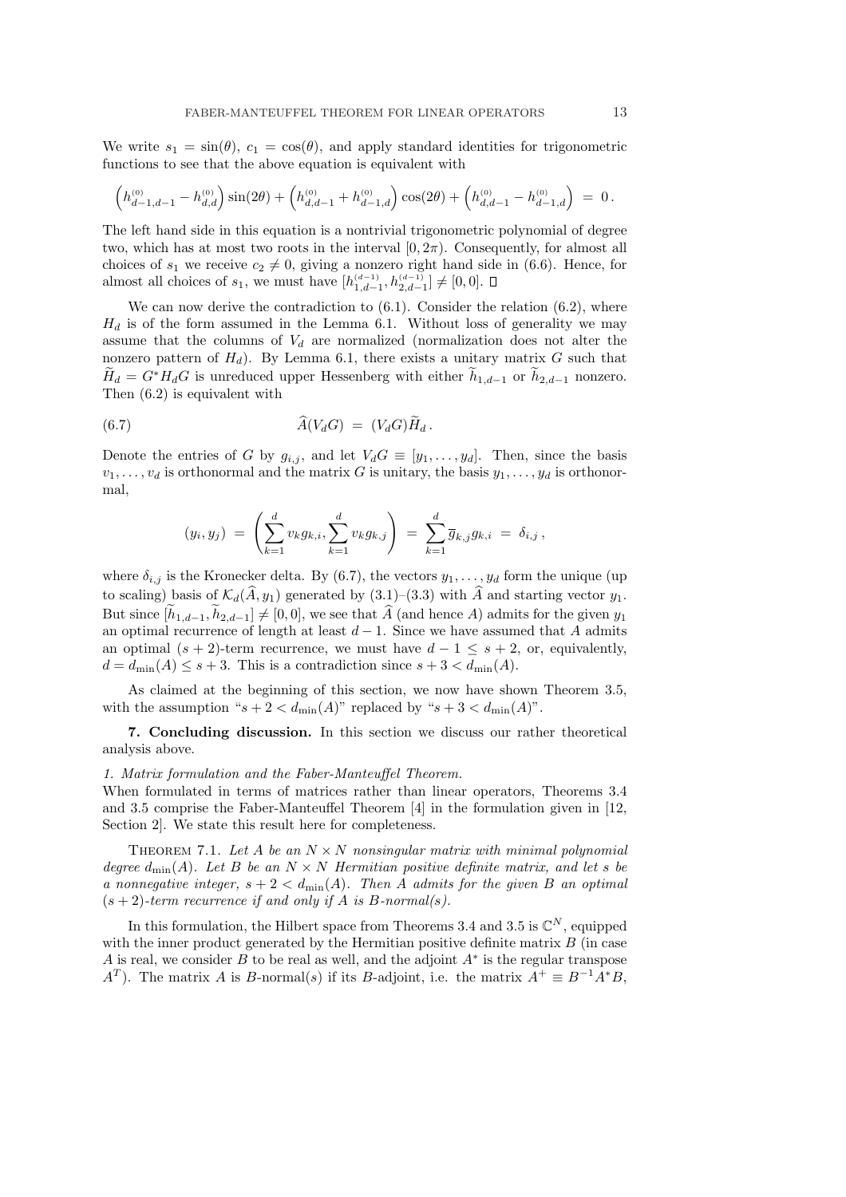We write  $s_1 = \sin(\theta)$ ,  $c_1 = \cos(\theta)$ , and apply standard identities for trigonometric functions to see that the above equation is equivalent with

$$
\left(h^{^{(0)}}_{d-1,d-1}-h^{^{(0)}}_{d,d}\right)\sin(2\theta)+\left(h^{^{(0)}}_{d,d-1}+h^{^{(0)}}_{d-1,d}\right)\cos(2\theta)+\left(h^{^{(0)}}_{d,d-1}-h^{^{(0)}}_{d-1,d}\right)~=~0\,.
$$

The left hand side in this equation is a nontrivial trigonometric polynomial of degree two, which has at most two roots in the interval  $[0, 2\pi)$ . Consequently, for almost all choices of  $s_1$  we receive  $c_2 \neq 0$ , giving a nonzero right hand side in (6.6). Hence, for almost all choices of  $s_1$ , we must have  $[h_{1,d-1}^{(d-1)}, h_{2,d-1}^{(d-1)}] \neq [0,0].$ 

We can now derive the contradiction to  $(6.1)$ . Consider the relation  $(6.2)$ , where  $H_d$  is of the form assumed in the Lemma 6.1. Without loss of generality we may assume that the columns of  $V_d$  are normalized (normalization does not alter the nonzero pattern of  $H_d$ ). By Lemma 6.1, there exists a unitary matrix G such that  $H_d = G^*H_dG$  is unreduced upper Hessenberg with either  $h_{1,d-1}$  or  $h_{2,d-1}$  nonzero. Then (6.2) is equivalent with

(6.7) 
$$
\widehat{A}(V_dG) = (V_dG)\widetilde{H}_d.
$$

Denote the entries of G by  $g_{i,j}$ , and let  $V_dG \equiv [y_1, \ldots, y_d]$ . Then, since the basis  $v_1, \ldots, v_d$  is orthonormal and the matrix G is unitary, the basis  $y_1, \ldots, y_d$  is orthonormal,

$$
(y_i, y_j) = \left(\sum_{k=1}^d v_k g_{k,i}, \sum_{k=1}^d v_k g_{k,j}\right) = \sum_{k=1}^d \overline{g}_{k,j} g_{k,i} = \delta_{i,j},
$$

where  $\delta_{i,j}$  is the Kronecker delta. By (6.7), the vectors  $y_1, \ldots, y_d$  form the unique (up to scaling) basis of  $\mathcal{K}_d(\hat{A}, y_1)$  generated by  $(3.1)$ – $(3.3)$  with  $\hat{A}$  and starting vector  $y_1$ . But since  $[\tilde{h}_{1,d-1}, \tilde{h}_{2,d-1}] \neq [0, 0]$ , we see that  $\tilde{A}$  (and hence A) admits for the given  $y_1$ an optimal recurrence of length at least  $d-1$ . Since we have assumed that A admits an optimal  $(s + 2)$ -term recurrence, we must have  $d - 1 \leq s + 2$ , or, equivalently,  $d = d_{\min}(A) \leq s + 3$ . This is a contradiction since  $s + 3 < d_{\min}(A)$ .

As claimed at the beginning of this section, we now have shown Theorem 3.5, with the assumption " $s + 2 < d_{\min}(A)$ " replaced by " $s + 3 < d_{\min}(A)$ ".

7. Concluding discussion. In this section we discuss our rather theoretical analysis above.

## 1. Matrix formulation and the Faber-Manteuffel Theorem.

When formulated in terms of matrices rather than linear operators, Theorems 3.4 and 3.5 comprise the Faber-Manteuffel Theorem [4] in the formulation given in [12, Section 2]. We state this result here for completeness.

THEOREM 7.1. Let A be an  $N \times N$  nonsingular matrix with minimal polynomial degree  $d_{\text{min}}(A)$ . Let B be an  $N \times N$  Hermitian positive definite matrix, and let s be a nonnegative integer,  $s + 2 < d_{\min}(A)$ . Then A admits for the given B an optimal  $(s + 2)$ -term recurrence if and only if A is B-normal(s).

In this formulation, the Hilbert space from Theorems 3.4 and 3.5 is  $\mathbb{C}^N$ , equipped with the inner product generated by the Hermitian positive definite matrix  $B$  (in case A is real, we consider B to be real as well, and the adjoint  $A^*$  is the regular transpose  $A<sup>T</sup>$ ). The matrix A is B-normal(s) if its B-adjoint, i.e. the matrix  $A<sup>+</sup> \equiv B<sup>-1</sup>A<sup>*</sup>B$ ,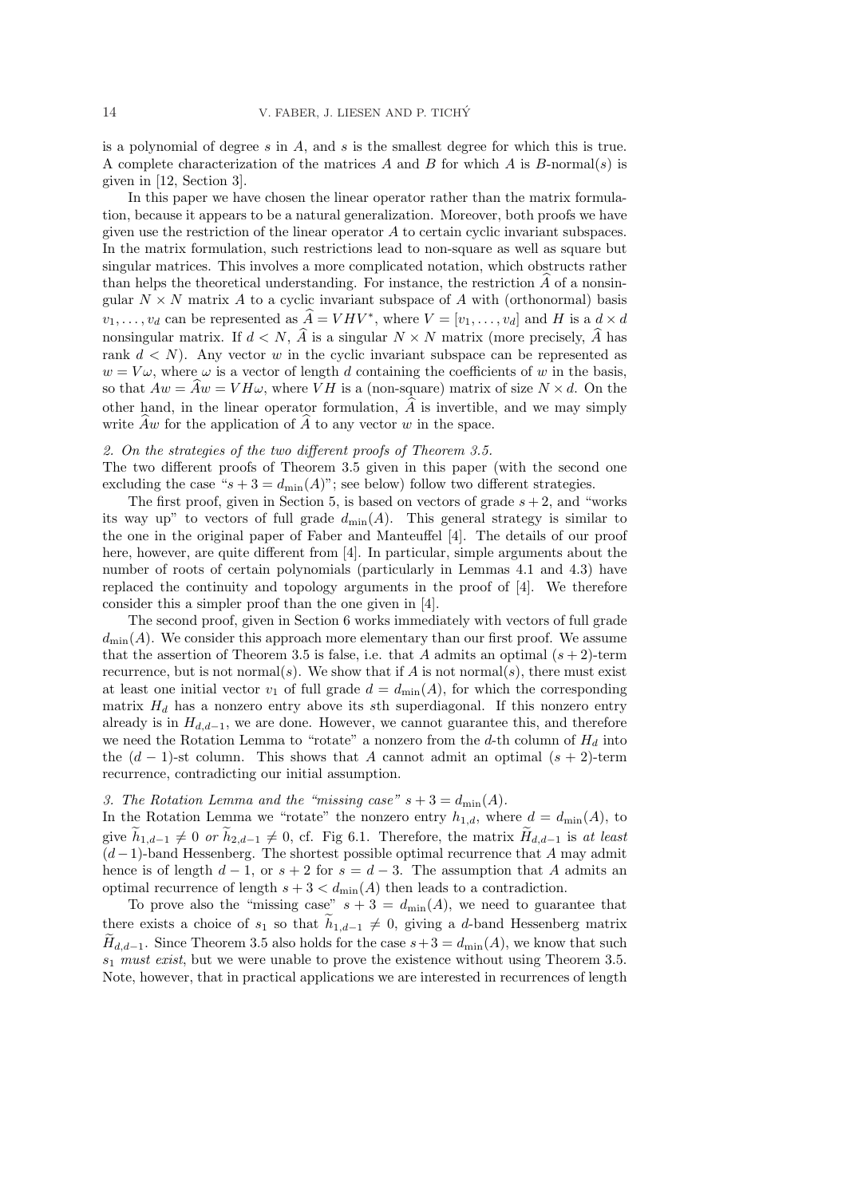is a polynomial of degree  $s$  in  $A$ , and  $s$  is the smallest degree for which this is true. A complete characterization of the matrices A and B for which A is  $B$ -normal(s) is given in [12, Section 3].

In this paper we have chosen the linear operator rather than the matrix formulation, because it appears to be a natural generalization. Moreover, both proofs we have given use the restriction of the linear operator  $A$  to certain cyclic invariant subspaces. In the matrix formulation, such restrictions lead to non-square as well as square but singular matrices. This involves a more complicated notation, which obstructs rather than helps the theoretical understanding. For instance, the restriction  $A$  of a nonsingular  $N \times N$  matrix A to a cyclic invariant subspace of A with (orthonormal) basis  $v_1, \ldots, v_d$  can be represented as  $\widehat{A} = VHV^*$ , where  $V = [v_1, \ldots, v_d]$  and H is a  $d \times d$ nonsingular matrix. If  $d \leq N$ ,  $\widehat{A}$  is a singular  $N \times N$  matrix (more precisely,  $\widehat{A}$  has rank  $d \langle N \rangle$ . Any vector w in the cyclic invariant subspace can be represented as  $w = V\omega$ , where  $\omega$  is a vector of length d containing the coefficients of w in the basis, so that  $Aw = Aw = VH\omega$ , where VH is a (non-square) matrix of size  $N \times d$ . On the other hand, in the linear operator formulation,  $\hat{A}$  is invertible, and we may simply write  $\widehat{A}w$  for the application of  $\widehat{A}$  to any vector w in the space.

## 2. On the strategies of the two different proofs of Theorem 3.5.

The two different proofs of Theorem 3.5 given in this paper (with the second one excluding the case " $s + 3 = d_{\min}(A)$ "; see below) follow two different strategies.

The first proof, given in Section 5, is based on vectors of grade  $s + 2$ , and "works" its way up" to vectors of full grade  $d_{\min}(A)$ . This general strategy is similar to the one in the original paper of Faber and Manteuffel [4]. The details of our proof here, however, are quite different from [4]. In particular, simple arguments about the number of roots of certain polynomials (particularly in Lemmas 4.1 and 4.3) have replaced the continuity and topology arguments in the proof of [4]. We therefore consider this a simpler proof than the one given in [4].

The second proof, given in Section 6 works immediately with vectors of full grade  $d_{\min}(A)$ . We consider this approach more elementary than our first proof. We assume that the assertion of Theorem 3.5 is false, i.e. that A admits an optimal  $(s + 2)$ -term recurrence, but is not normal(s). We show that if A is not normal(s), there must exist at least one initial vector  $v_1$  of full grade  $d = d_{\min}(A)$ , for which the corresponding matrix  $H_d$  has a nonzero entry above its sth superdiagonal. If this nonzero entry already is in  $H_{d,d-1}$ , we are done. However, we cannot guarantee this, and therefore we need the Rotation Lemma to "rotate" a nonzero from the d-th column of  $H_d$  into the  $(d-1)$ -st column. This shows that A cannot admit an optimal  $(s+2)$ -term recurrence, contradicting our initial assumption.

# 3. The Rotation Lemma and the "missing case"  $s + 3 = d_{\text{min}}(A)$ .

In the Rotation Lemma we "rotate" the nonzero entry  $h_{1,d}$ , where  $d = d_{\min}(A)$ , to give  $\tilde{h}_{1,d-1} \neq 0$  or  $\tilde{h}_{2,d-1} \neq 0$ , cf. Fig 6.1. Therefore, the matrix  $\tilde{H}_{d,d-1}$  is at least  $(d-1)$ -band Hessenberg. The shortest possible optimal recurrence that A may admit hence is of length  $d-1$ , or  $s+2$  for  $s=d-3$ . The assumption that A admits an optimal recurrence of length  $s + 3 < d_{\min}(A)$  then leads to a contradiction.

To prove also the "missing case"  $s + 3 = d_{\min}(A)$ , we need to guarantee that there exists a choice of  $s_1$  so that  $\tilde{h}_{1,d-1} \neq 0$ , giving a d-band Hessenberg matrix  $\widetilde{H}_{d,d-1}$ . Since Theorem 3.5 also holds for the case  $s+3 = d_{\min}(A)$ , we know that such  $s_1$  must exist, but we were unable to prove the existence without using Theorem 3.5. Note, however, that in practical applications we are interested in recurrences of length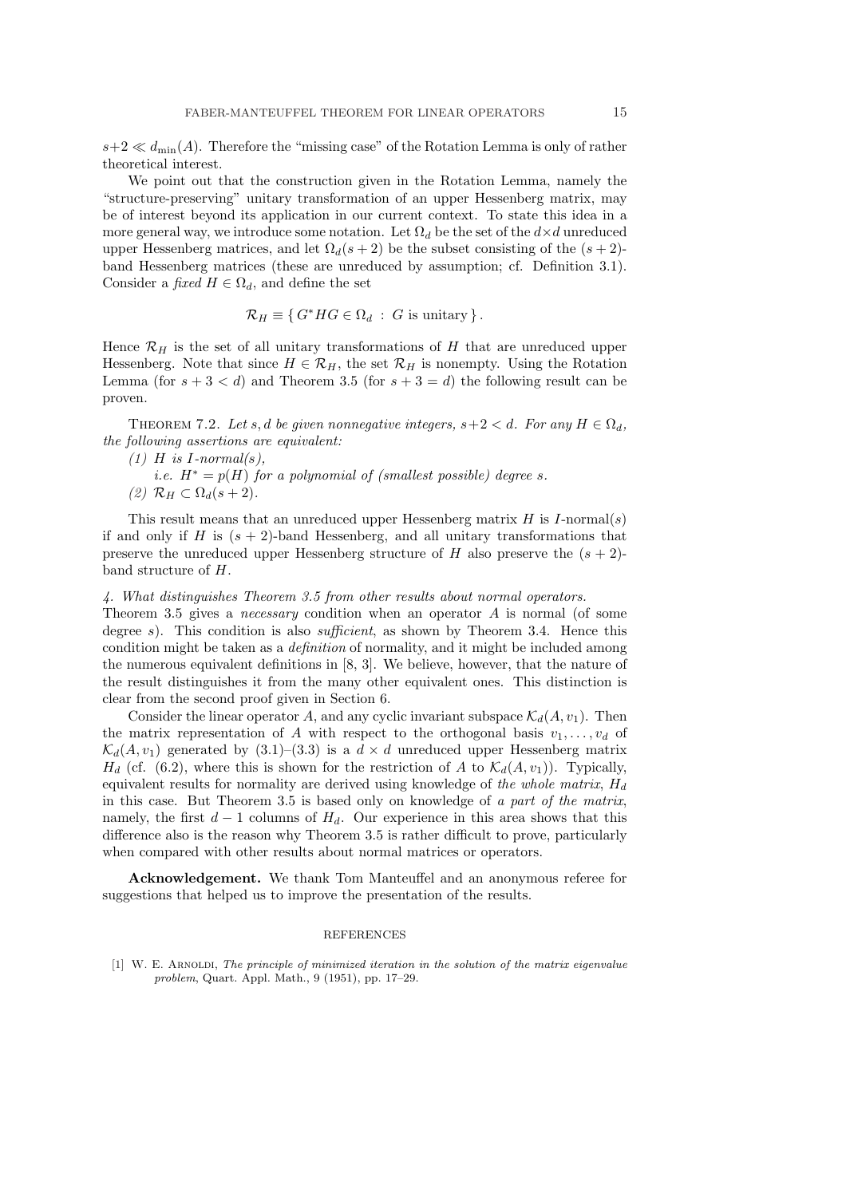$s+2 \ll d_{\min}(A)$ . Therefore the "missing case" of the Rotation Lemma is only of rather theoretical interest.

We point out that the construction given in the Rotation Lemma, namely the "structure-preserving" unitary transformation of an upper Hessenberg matrix, may be of interest beyond its application in our current context. To state this idea in a more general way, we introduce some notation. Let  $\Omega_d$  be the set of the  $d \times d$  unreduced upper Hessenberg matrices, and let  $\Omega_d(s+2)$  be the subset consisting of the  $(s+2)$ band Hessenberg matrices (these are unreduced by assumption; cf. Definition 3.1). Consider a fixed  $H \in \Omega_d$ , and define the set

$$
\mathcal{R}_H \equiv \{ G^*HG \in \Omega_d : G \text{ is unitary } \}.
$$

Hence  $\mathcal{R}_H$  is the set of all unitary transformations of H that are unreduced upper Hessenberg. Note that since  $H \in \mathcal{R}_H$ , the set  $\mathcal{R}_H$  is nonempty. Using the Rotation Lemma (for  $s + 3 < d$ ) and Theorem 3.5 (for  $s + 3 = d$ ) the following result can be proven.

THEOREM 7.2. Let s, d be given nonnegative integers,  $s+2 < d$ . For any  $H \in \Omega_d$ , the following assertions are equivalent:

i.e.  $H^* = p(H)$  for a polynomial of (smallest possible) degree s. (2)  $\mathcal{R}_H \subset \Omega_d(s+2)$ .

This result means that an unreduced upper Hessenberg matrix  $H$  is  $I$ -normal(s) if and only if H is  $(s + 2)$ -band Hessenberg, and all unitary transformations that preserve the unreduced upper Hessenberg structure of H also preserve the  $(s + 2)$ band structure of H.

### 4. What distinguishes Theorem 3.5 from other results about normal operators.

Theorem 3.5 gives a *necessary* condition when an operator  $A$  is normal (of some degree s). This condition is also *sufficient*, as shown by Theorem 3.4. Hence this condition might be taken as a definition of normality, and it might be included among the numerous equivalent definitions in [8, 3]. We believe, however, that the nature of the result distinguishes it from the many other equivalent ones. This distinction is clear from the second proof given in Section 6.

Consider the linear operator A, and any cyclic invariant subspace  $\mathcal{K}_d(A, v_1)$ . Then the matrix representation of A with respect to the orthogonal basis  $v_1, \ldots, v_d$  of  $\mathcal{K}_d(A, v_1)$  generated by (3.1)–(3.3) is a  $d \times d$  unreduced upper Hessenberg matrix  $H_d$  (cf. (6.2), where this is shown for the restriction of A to  $\mathcal{K}_d(A, v_1)$ ). Typically, equivalent results for normality are derived using knowledge of the whole matrix,  $H_d$ in this case. But Theorem 3.5 is based only on knowledge of a part of the matrix, namely, the first  $d-1$  columns of  $H_d$ . Our experience in this area shows that this difference also is the reason why Theorem 3.5 is rather difficult to prove, particularly when compared with other results about normal matrices or operators.

Acknowledgement. We thank Tom Manteuffel and an anonymous referee for suggestions that helped us to improve the presentation of the results.

### REFERENCES

[1] W. E. ARNOLDI, The principle of minimized iteration in the solution of the matrix eigenvalue problem, Quart. Appl. Math., 9 (1951), pp. 17–29.

 $(1)$  H is I-normal(s),